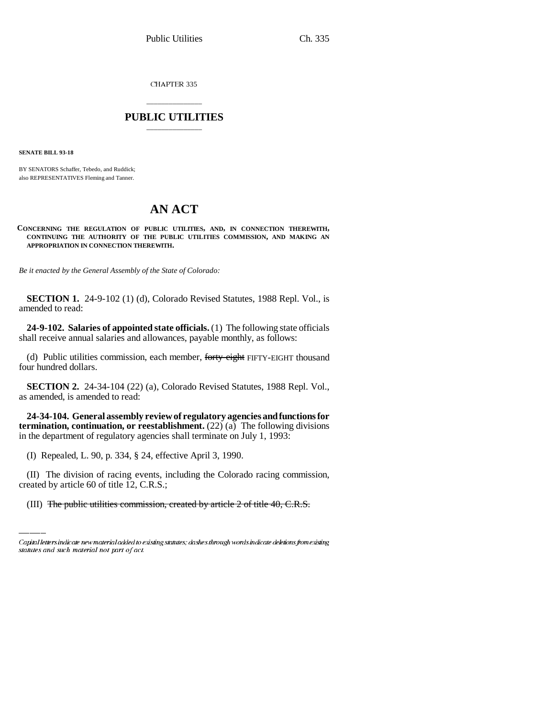CHAPTER 335

# \_\_\_\_\_\_\_\_\_\_\_\_\_\_\_ **PUBLIC UTILITIES** \_\_\_\_\_\_\_\_\_\_\_\_\_\_\_

**SENATE BILL 93-18**

BY SENATORS Schaffer, Tebedo, and Ruddick; also REPRESENTATIVES Fleming and Tanner.

# **AN ACT**

**CONCERNING THE REGULATION OF PUBLIC UTILITIES, AND, IN CONNECTION THEREWITH, CONTINUING THE AUTHORITY OF THE PUBLIC UTILITIES COMMISSION, AND MAKING AN APPROPRIATION IN CONNECTION THEREWITH.**

*Be it enacted by the General Assembly of the State of Colorado:*

**SECTION 1.** 24-9-102 (1) (d), Colorado Revised Statutes, 1988 Repl. Vol., is amended to read:

**24-9-102. Salaries of appointed state officials.** (1) The following state officials shall receive annual salaries and allowances, payable monthly, as follows:

(d) Public utilities commission, each member, forty-eight FIFTY-EIGHT thousand four hundred dollars.

**SECTION 2.** 24-34-104 (22) (a), Colorado Revised Statutes, 1988 Repl. Vol., as amended, is amended to read:

**24-34-104. General assembly review of regulatory agencies and functions for termination, continuation, or reestablishment.**  $(22)$   $(a)$  The following divisions in the department of regulatory agencies shall terminate on July 1, 1993:

(I) Repealed, L. 90, p. 334, § 24, effective April 3, 1990.

(II) The division of racing events, including the Colorado racing commission, created by article 60 of title 12, C.R.S.;

(III) The public utilities commission, created by article 2 of title 40, C.R.S.

Capital letters indicate new material added to existing statutes; dashes through words indicate deletions from existing statutes and such material not part of act.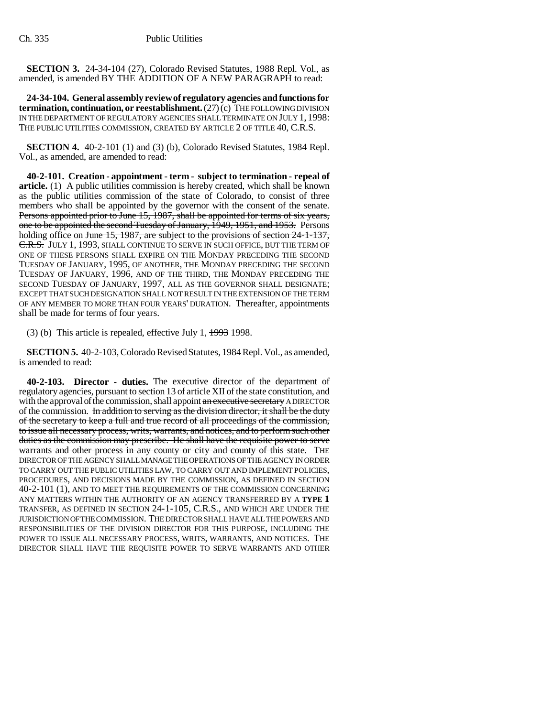**SECTION 3.** 24-34-104 (27), Colorado Revised Statutes, 1988 Repl. Vol., as amended, is amended BY THE ADDITION OF A NEW PARAGRAPH to read:

**24-34-104. General assembly review of regulatory agencies and functions for termination, continuation, or reestablishment.** (27) (c) THE FOLLOWING DIVISION IN THE DEPARTMENT OF REGULATORY AGENCIES SHALL TERMINATE ON JULY 1, 1998: THE PUBLIC UTILITIES COMMISSION, CREATED BY ARTICLE 2 OF TITLE 40, C.R.S.

**SECTION 4.** 40-2-101 (1) and (3) (b), Colorado Revised Statutes, 1984 Repl. Vol., as amended, are amended to read:

**40-2-101. Creation - appointment - term - subject to termination - repeal of article.** (1) A public utilities commission is hereby created, which shall be known as the public utilities commission of the state of Colorado, to consist of three members who shall be appointed by the governor with the consent of the senate. Persons appointed prior to June 15, 1987, shall be appointed for terms of six years, one to be appointed the second Tuesday of January, 1949, 1951, and 1953. Persons holding office on <del>June 15, 1987, are subject to the provisions of section 24-1-137,</del> C.R.S. JULY 1, 1993, SHALL CONTINUE TO SERVE IN SUCH OFFICE, BUT THE TERM OF ONE OF THESE PERSONS SHALL EXPIRE ON THE MONDAY PRECEDING THE SECOND TUESDAY OF JANUARY, 1995, OF ANOTHER, THE MONDAY PRECEDING THE SECOND TUESDAY OF JANUARY, 1996, AND OF THE THIRD, THE MONDAY PRECEDING THE SECOND TUESDAY OF JANUARY, 1997, ALL AS THE GOVERNOR SHALL DESIGNATE; EXCEPT THAT SUCH DESIGNATION SHALL NOT RESULT IN THE EXTENSION OF THE TERM OF ANY MEMBER TO MORE THAN FOUR YEARS' DURATION. Thereafter, appointments shall be made for terms of four years.

(3) (b) This article is repealed, effective July  $1, \frac{1993}{1998}$ .

**SECTION 5.** 40-2-103, Colorado Revised Statutes, 1984 Repl. Vol., as amended, is amended to read:

**40-2-103. Director - duties.** The executive director of the department of regulatory agencies, pursuant to section 13 of article XII of the state constitution, and with the approval of the commission, shall appoint an executive secretary A DIRECTOR of the commission. In addition to serving as the division director, it shall be the duty of the secretary to keep a full and true record of all proceedings of the commission, to issue all necessary process, writs, warrants, and notices, and to perform such other duties as the commission may prescribe. He shall have the requisite power to serve warrants and other process in any county or city and county of this state. THE DIRECTOR OF THE AGENCY SHALL MANAGE THE OPERATIONS OF THE AGENCY IN ORDER TO CARRY OUT THE PUBLIC UTILITIES LAW, TO CARRY OUT AND IMPLEMENT POLICIES, PROCEDURES, AND DECISIONS MADE BY THE COMMISSION, AS DEFINED IN SECTION 40-2-101 (1), AND TO MEET THE REQUIREMENTS OF THE COMMISSION CONCERNING ANY MATTERS WITHIN THE AUTHORITY OF AN AGENCY TRANSFERRED BY A **TYPE 1** TRANSFER, AS DEFINED IN SECTION 24-1-105, C.R.S., AND WHICH ARE UNDER THE JURISDICTION OF THE COMMISSION. THE DIRECTOR SHALL HAVE ALL THE POWERS AND RESPONSIBILITIES OF THE DIVISION DIRECTOR FOR THIS PURPOSE, INCLUDING THE POWER TO ISSUE ALL NECESSARY PROCESS, WRITS, WARRANTS, AND NOTICES. THE DIRECTOR SHALL HAVE THE REQUISITE POWER TO SERVE WARRANTS AND OTHER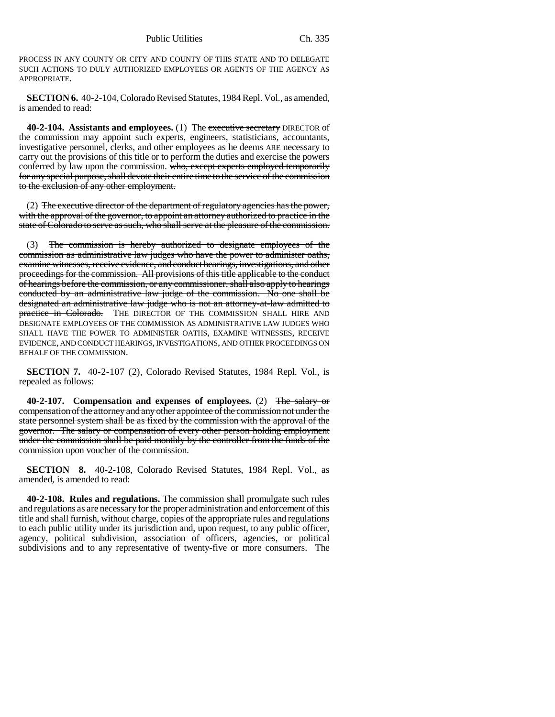PROCESS IN ANY COUNTY OR CITY AND COUNTY OF THIS STATE AND TO DELEGATE SUCH ACTIONS TO DULY AUTHORIZED EMPLOYEES OR AGENTS OF THE AGENCY AS APPROPRIATE.

**SECTION 6.** 40-2-104, Colorado Revised Statutes, 1984 Repl. Vol., as amended, is amended to read:

**40-2-104. Assistants and employees.** (1) The executive secretary DIRECTOR of the commission may appoint such experts, engineers, statisticians, accountants, investigative personnel, clerks, and other employees as he deems ARE necessary to carry out the provisions of this title or to perform the duties and exercise the powers conferred by law upon the commission. who, except experts employed temporarily for any special purpose, shall devote their entire time to the service of the commission to the exclusion of any other employment.

(2) The executive director of the department of regulatory agencies has the power, with the approval of the governor, to appoint an attorney authorized to practice in the state of Colorado to serve as such, who shall serve at the pleasure of the commission.

(3) The commission is hereby authorized to designate employees of the commission as administrative law judges who have the power to administer oaths, examine witnesses, receive evidence, and conduct hearings, investigations, and other proceedings for the commission. All provisions of this title applicable to the conduct of hearings before the commission, or any commissioner, shall also apply to hearings conducted by an administrative law judge of the commission. No one shall be designated an administrative law judge who is not an attorney-at-law admitted to practice in Colorado. THE DIRECTOR OF THE COMMISSION SHALL HIRE AND DESIGNATE EMPLOYEES OF THE COMMISSION AS ADMINISTRATIVE LAW JUDGES WHO SHALL HAVE THE POWER TO ADMINISTER OATHS, EXAMINE WITNESSES, RECEIVE EVIDENCE, AND CONDUCT HEARINGS, INVESTIGATIONS, AND OTHER PROCEEDINGS ON BEHALF OF THE COMMISSION.

**SECTION 7.** 40-2-107 (2), Colorado Revised Statutes, 1984 Repl. Vol., is repealed as follows:

**40-2-107. Compensation and expenses of employees.** (2) The salary or compensation of the attorney and any other appointee of the commission not under the state personnel system shall be as fixed by the commission with the approval of the governor. The salary or compensation of every other person holding employment under the commission shall be paid monthly by the controller from the funds of the commission upon voucher of the commission.

**SECTION 8.** 40-2-108, Colorado Revised Statutes, 1984 Repl. Vol., as amended, is amended to read:

**40-2-108. Rules and regulations.** The commission shall promulgate such rules and regulations as are necessary for the proper administration and enforcement of this title and shall furnish, without charge, copies of the appropriate rules and regulations to each public utility under its jurisdiction and, upon request, to any public officer, agency, political subdivision, association of officers, agencies, or political subdivisions and to any representative of twenty-five or more consumers. The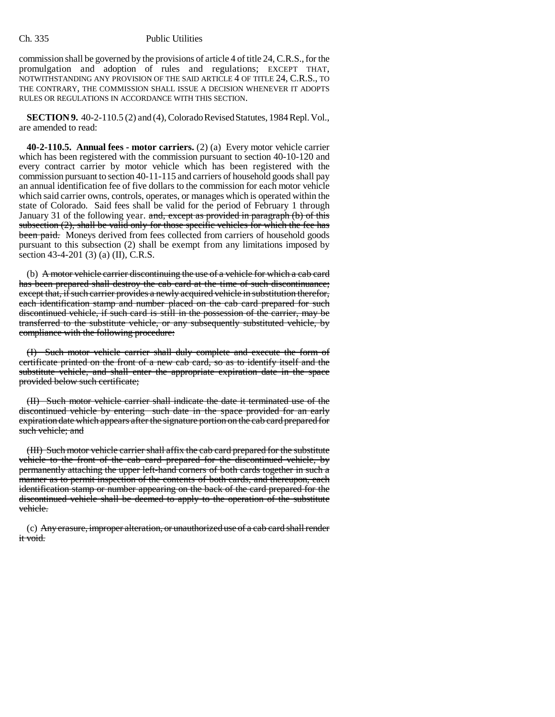commission shall be governed by the provisions of article 4 of title 24, C.R.S., for the promulgation and adoption of rules and regulations; EXCEPT THAT, NOTWITHSTANDING ANY PROVISION OF THE SAID ARTICLE 4 OF TITLE 24, C.R.S., TO THE CONTRARY, THE COMMISSION SHALL ISSUE A DECISION WHENEVER IT ADOPTS RULES OR REGULATIONS IN ACCORDANCE WITH THIS SECTION.

**SECTION 9.** 40-2-110.5 (2) and (4), Colorado Revised Statutes, 1984 Repl. Vol., are amended to read:

**40-2-110.5. Annual fees - motor carriers.** (2) (a) Every motor vehicle carrier which has been registered with the commission pursuant to section 40-10-120 and every contract carrier by motor vehicle which has been registered with the commission pursuant to section 40-11-115 and carriers of household goods shall pay an annual identification fee of five dollars to the commission for each motor vehicle which said carrier owns, controls, operates, or manages which is operated within the state of Colorado. Said fees shall be valid for the period of February 1 through January 31 of the following year. and, except as provided in paragraph (b) of this subsection  $(2)$ , shall be valid only for those specific vehicles for which the fee has been paid. Moneys derived from fees collected from carriers of household goods pursuant to this subsection (2) shall be exempt from any limitations imposed by section 43-4-201 (3) (a) (II), C.R.S.

(b) A motor vehicle carrier discontinuing the use of a vehicle for which a cab card has been prepared shall destroy the cab card at the time of such discontinuance; except that, if such carrier provides a newly acquired vehicle in substitution therefor, each identification stamp and number placed on the cab card prepared for such discontinued vehicle, if such card is still in the possession of the carrier, may be transferred to the substitute vehicle, or any subsequently substituted vehicle, by compliance with the following procedure:

(I) Such motor vehicle carrier shall duly complete and execute the form of certificate printed on the front of a new cab card, so as to identify itself and the substitute vehicle, and shall enter the appropriate expiration date in the space provided below such certificate;

(II) Such motor vehicle carrier shall indicate the date it terminated use of the discontinued vehicle by entering such date in the space provided for an early expiration date which appears after the signature portion on the cab card prepared for such vehicle; and

(III) Such motor vehicle carrier shall affix the cab card prepared for the substitute vehicle to the front of the cab card prepared for the discontinued vehicle, by permanently attaching the upper left-hand corners of both cards together in such a manner as to permit inspection of the contents of both cards, and thereupon, each identification stamp or number appearing on the back of the card prepared for the discontinued vehicle shall be deemed to apply to the operation of the substitute vehicle.

(c) Any erasure, improper alteration, or unauthorized use of a cab card shall render it void.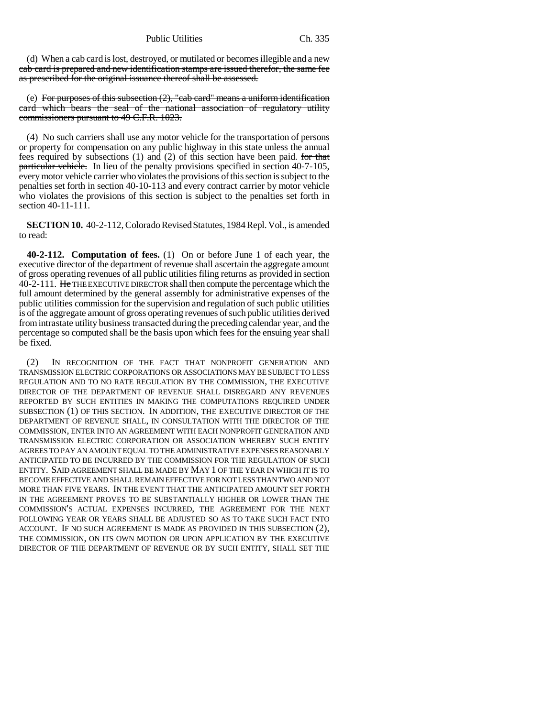(d) When a cab card is lost, destroyed, or mutilated or becomes illegible and a new cab card is prepared and new identification stamps are issued therefor, the same fee as prescribed for the original issuance thereof shall be assessed.

(e) For purposes of this subsection  $(2)$ , "cab card" means a uniform identification card which bears the seal of the national association of regulatory utility commissioners pursuant to 49 C.F.R. 1023.

(4) No such carriers shall use any motor vehicle for the transportation of persons or property for compensation on any public highway in this state unless the annual fees required by subsections  $(1)$  and  $(2)$  of this section have been paid. for that particular vehicle. In lieu of the penalty provisions specified in section 40-7-105, every motor vehicle carrier who violates the provisions of this section is subject to the penalties set forth in section 40-10-113 and every contract carrier by motor vehicle who violates the provisions of this section is subject to the penalties set forth in section 40-11-111.

**SECTION 10.** 40-2-112, Colorado Revised Statutes, 1984 Repl. Vol., is amended to read:

**40-2-112. Computation of fees.** (1) On or before June 1 of each year, the executive director of the department of revenue shall ascertain the aggregate amount of gross operating revenues of all public utilities filing returns as provided in section 40-2-111. He THE EXECUTIVE DIRECTOR shall then compute the percentage which the full amount determined by the general assembly for administrative expenses of the public utilities commission for the supervision and regulation of such public utilities is of the aggregate amount of gross operating revenues of such public utilities derived from intrastate utility business transacted during the preceding calendar year, and the percentage so computed shall be the basis upon which fees for the ensuing year shall be fixed.

(2) IN RECOGNITION OF THE FACT THAT NONPROFIT GENERATION AND TRANSMISSION ELECTRIC CORPORATIONS OR ASSOCIATIONS MAY BE SUBJECT TO LESS REGULATION AND TO NO RATE REGULATION BY THE COMMISSION, THE EXECUTIVE DIRECTOR OF THE DEPARTMENT OF REVENUE SHALL DISREGARD ANY REVENUES REPORTED BY SUCH ENTITIES IN MAKING THE COMPUTATIONS REQUIRED UNDER SUBSECTION (1) OF THIS SECTION. IN ADDITION, THE EXECUTIVE DIRECTOR OF THE DEPARTMENT OF REVENUE SHALL, IN CONSULTATION WITH THE DIRECTOR OF THE COMMISSION, ENTER INTO AN AGREEMENT WITH EACH NONPROFIT GENERATION AND TRANSMISSION ELECTRIC CORPORATION OR ASSOCIATION WHEREBY SUCH ENTITY AGREES TO PAY AN AMOUNT EQUAL TO THE ADMINISTRATIVE EXPENSES REASONABLY ANTICIPATED TO BE INCURRED BY THE COMMISSION FOR THE REGULATION OF SUCH ENTITY. SAID AGREEMENT SHALL BE MADE BY MAY 1 OF THE YEAR IN WHICH IT IS TO BECOME EFFECTIVE AND SHALL REMAIN EFFECTIVE FOR NOT LESS THAN TWO AND NOT MORE THAN FIVE YEARS. IN THE EVENT THAT THE ANTICIPATED AMOUNT SET FORTH IN THE AGREEMENT PROVES TO BE SUBSTANTIALLY HIGHER OR LOWER THAN THE COMMISSION'S ACTUAL EXPENSES INCURRED, THE AGREEMENT FOR THE NEXT FOLLOWING YEAR OR YEARS SHALL BE ADJUSTED SO AS TO TAKE SUCH FACT INTO ACCOUNT. IF NO SUCH AGREEMENT IS MADE AS PROVIDED IN THIS SUBSECTION (2), THE COMMISSION, ON ITS OWN MOTION OR UPON APPLICATION BY THE EXECUTIVE DIRECTOR OF THE DEPARTMENT OF REVENUE OR BY SUCH ENTITY, SHALL SET THE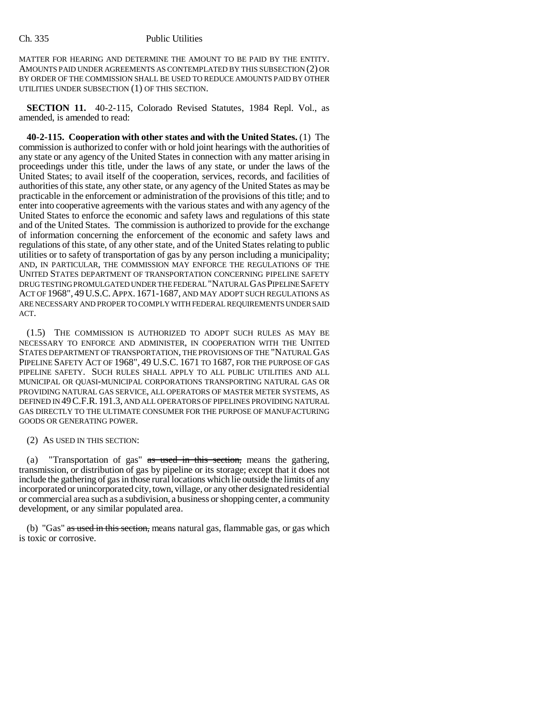MATTER FOR HEARING AND DETERMINE THE AMOUNT TO BE PAID BY THE ENTITY. AMOUNTS PAID UNDER AGREEMENTS AS CONTEMPLATED BY THIS SUBSECTION (2) OR BY ORDER OF THE COMMISSION SHALL BE USED TO REDUCE AMOUNTS PAID BY OTHER UTILITIES UNDER SUBSECTION (1) OF THIS SECTION.

**SECTION 11.** 40-2-115, Colorado Revised Statutes, 1984 Repl. Vol., as amended, is amended to read:

**40-2-115. Cooperation with other states and with the United States.** (1) The commission is authorized to confer with or hold joint hearings with the authorities of any state or any agency of the United States in connection with any matter arising in proceedings under this title, under the laws of any state, or under the laws of the United States; to avail itself of the cooperation, services, records, and facilities of authorities of this state, any other state, or any agency of the United States as may be practicable in the enforcement or administration of the provisions of this title; and to enter into cooperative agreements with the various states and with any agency of the United States to enforce the economic and safety laws and regulations of this state and of the United States. The commission is authorized to provide for the exchange of information concerning the enforcement of the economic and safety laws and regulations of this state, of any other state, and of the United States relating to public utilities or to safety of transportation of gas by any person including a municipality; AND, IN PARTICULAR, THE COMMISSION MAY ENFORCE THE REGULATIONS OF THE UNITED STATES DEPARTMENT OF TRANSPORTATION CONCERNING PIPELINE SAFETY DRUG TESTING PROMULGATED UNDER THE FEDERAL "NATURAL GAS PIPELINE SAFETY ACT OF 1968", 49U.S.C.APPX. 1671-1687, AND MAY ADOPT SUCH REGULATIONS AS ARE NECESSARY AND PROPER TO COMPLY WITH FEDERAL REQUIREMENTS UNDER SAID ACT.

(1.5) THE COMMISSION IS AUTHORIZED TO ADOPT SUCH RULES AS MAY BE NECESSARY TO ENFORCE AND ADMINISTER, IN COOPERATION WITH THE UNITED STATES DEPARTMENT OF TRANSPORTATION, THE PROVISIONS OF THE "NATURAL GAS PIPELINE SAFETY ACT OF 1968", 49 U.S.C. 1671 TO 1687, FOR THE PURPOSE OF GAS PIPELINE SAFETY. SUCH RULES SHALL APPLY TO ALL PUBLIC UTILITIES AND ALL MUNICIPAL OR QUASI-MUNICIPAL CORPORATIONS TRANSPORTING NATURAL GAS OR PROVIDING NATURAL GAS SERVICE, ALL OPERATORS OF MASTER METER SYSTEMS, AS DEFINED IN 49C.F.R. 191.3, AND ALL OPERATORS OF PIPELINES PROVIDING NATURAL GAS DIRECTLY TO THE ULTIMATE CONSUMER FOR THE PURPOSE OF MANUFACTURING GOODS OR GENERATING POWER.

### (2) AS USED IN THIS SECTION:

(a) "Transportation of gas" as used in this section, means the gathering, transmission, or distribution of gas by pipeline or its storage; except that it does not include the gathering of gas in those rural locations which lie outside the limits of any incorporated or unincorporated city, town, village, or any other designated residential or commercial area such as a subdivision, a business or shopping center, a community development, or any similar populated area.

(b) "Gas" as used in this section, means natural gas, flammable gas, or gas which is toxic or corrosive.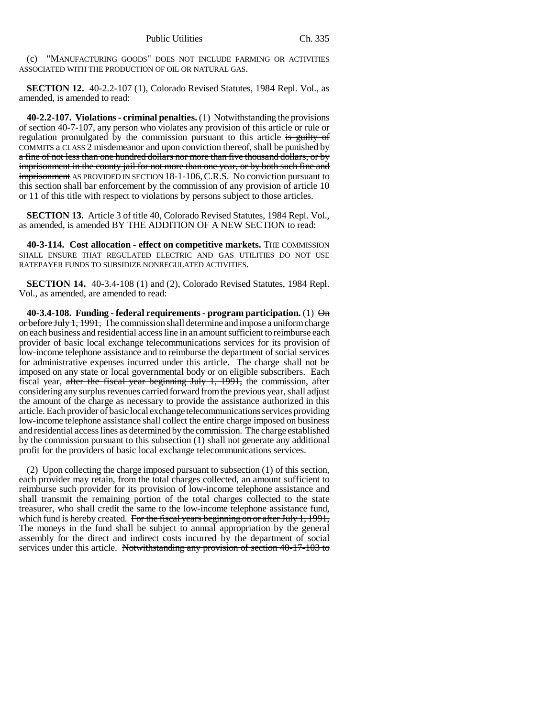(c) "MANUFACTURING GOODS" DOES NOT INCLUDE FARMING OR ACTIVITIES ASSOCIATED WITH THE PRODUCTION OF OIL OR NATURAL GAS.

**SECTION 12.** 40-2.2-107 (1), Colorado Revised Statutes, 1984 Repl. Vol., as amended, is amended to read:

**40-2.2-107. Violations - criminal penalties.** (1) Notwithstanding the provisions of section 40-7-107, any person who violates any provision of this article or rule or regulation promulgated by the commission pursuant to this article is guilty of COMMITS a CLASS 2 misdemeanor and upon conviction thereof, shall be punished by a fine of not less than one hundred dollars nor more than five thousand dollars, or by imprisonment in the county jail for not more than one year, or by both such fine and imprisonment AS PROVIDED IN SECTION 18-1-106,C.R.S. No conviction pursuant to this section shall bar enforcement by the commission of any provision of article 10 or 11 of this title with respect to violations by persons subject to those articles.

**SECTION 13.** Article 3 of title 40, Colorado Revised Statutes, 1984 Repl. Vol., as amended, is amended BY THE ADDITION OF A NEW SECTION to read:

**40-3-114. Cost allocation - effect on competitive markets.** THE COMMISSION SHALL ENSURE THAT REGULATED ELECTRIC AND GAS UTILITIES DO NOT USE RATEPAYER FUNDS TO SUBSIDIZE NONREGULATED ACTIVITIES.

**SECTION 14.** 40-3.4-108 (1) and (2), Colorado Revised Statutes, 1984 Repl. Vol., as amended, are amended to read:

**40-3.4-108. Funding - federal requirements - program participation.** (1) On or before July 1, 1991, The commission shall determine and impose a uniform charge on each business and residential access line in an amount sufficient to reimburse each provider of basic local exchange telecommunications services for its provision of low-income telephone assistance and to reimburse the department of social services for administrative expenses incurred under this article. The charge shall not be imposed on any state or local governmental body or on eligible subscribers. Each fiscal year, after the fiscal year beginning July 1, 1991, the commission, after considering any surplus revenues carried forward from the previous year, shall adjust the amount of the charge as necessary to provide the assistance authorized in this article. Each provider of basic local exchange telecommunications services providing low-income telephone assistance shall collect the entire charge imposed on business and residential access lines as determined by the commission. The charge established by the commission pursuant to this subsection (1) shall not generate any additional profit for the providers of basic local exchange telecommunications services.

(2) Upon collecting the charge imposed pursuant to subsection (1) of this section, each provider may retain, from the total charges collected, an amount sufficient to reimburse such provider for its provision of low-income telephone assistance and shall transmit the remaining portion of the total charges collected to the state treasurer, who shall credit the same to the low-income telephone assistance fund, which fund is hereby created. For the fiscal years beginning on or after July 1, 1991, The moneys in the fund shall be subject to annual appropriation by the general assembly for the direct and indirect costs incurred by the department of social services under this article. Notwithstanding any provision of section 40-17-103 to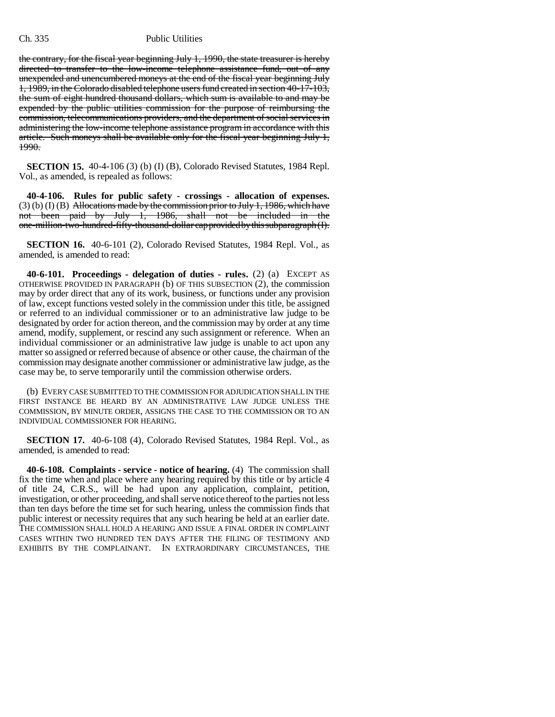the contrary, for the fiscal year beginning July 1, 1990, the state treasurer is hereby directed to transfer to the low-income telephone assistance fund, out of any unexpended and unencumbered moneys at the end of the fiscal year beginning July 1, 1989, in the Colorado disabled telephone users fund created in section 40-17-103, the sum of eight hundred thousand dollars, which sum is available to and may be expended by the public utilities commission for the purpose of reimbursing the commission, telecommunications providers, and the department of social services in administering the low-income telephone assistance program in accordance with this article. Such moneys shall be available only for the fiscal year beginning July 1, 1990.

**SECTION 15.** 40-4-106 (3) (b) (I) (B), Colorado Revised Statutes, 1984 Repl. Vol., as amended, is repealed as follows:

**40-4-106. Rules for public safety - crossings - allocation of expenses.**  $(3)$  (b) (I) (B) Allocations made by the commission prior to July 1, 1986, which have not been paid by July 1, 1986, shall not be included in the one-million-two-hundred-fifty-thousand-dollar cap provided by this subparagraph (I).

**SECTION 16.** 40-6-101 (2), Colorado Revised Statutes, 1984 Repl. Vol., as amended, is amended to read:

**40-6-101. Proceedings - delegation of duties - rules.** (2) (a) EXCEPT AS OTHERWISE PROVIDED IN PARAGRAPH (b) OF THIS SUBSECTION (2), the commission may by order direct that any of its work, business, or functions under any provision of law, except functions vested solely in the commission under this title, be assigned or referred to an individual commissioner or to an administrative law judge to be designated by order for action thereon, and the commission may by order at any time amend, modify, supplement, or rescind any such assignment or reference. When an individual commissioner or an administrative law judge is unable to act upon any matter so assigned or referred because of absence or other cause, the chairman of the commission may designate another commissioner or administrative law judge, as the case may be, to serve temporarily until the commission otherwise orders.

(b) EVERY CASE SUBMITTED TO THE COMMISSION FOR ADJUDICATION SHALL IN THE FIRST INSTANCE BE HEARD BY AN ADMINISTRATIVE LAW JUDGE UNLESS THE COMMISSION, BY MINUTE ORDER, ASSIGNS THE CASE TO THE COMMISSION OR TO AN INDIVIDUAL COMMISSIONER FOR HEARING.

**SECTION 17.** 40-6-108 (4), Colorado Revised Statutes, 1984 Repl. Vol., as amended, is amended to read:

**40-6-108. Complaints - service - notice of hearing.** (4) The commission shall fix the time when and place where any hearing required by this title or by article 4 of title 24, C.R.S., will be had upon any application, complaint, petition, investigation, or other proceeding, and shall serve notice thereof to the parties not less than ten days before the time set for such hearing, unless the commission finds that public interest or necessity requires that any such hearing be held at an earlier date. THE COMMISSION SHALL HOLD A HEARING AND ISSUE A FINAL ORDER IN COMPLAINT CASES WITHIN TWO HUNDRED TEN DAYS AFTER THE FILING OF TESTIMONY AND EXHIBITS BY THE COMPLAINANT. IN EXTRAORDINARY CIRCUMSTANCES, THE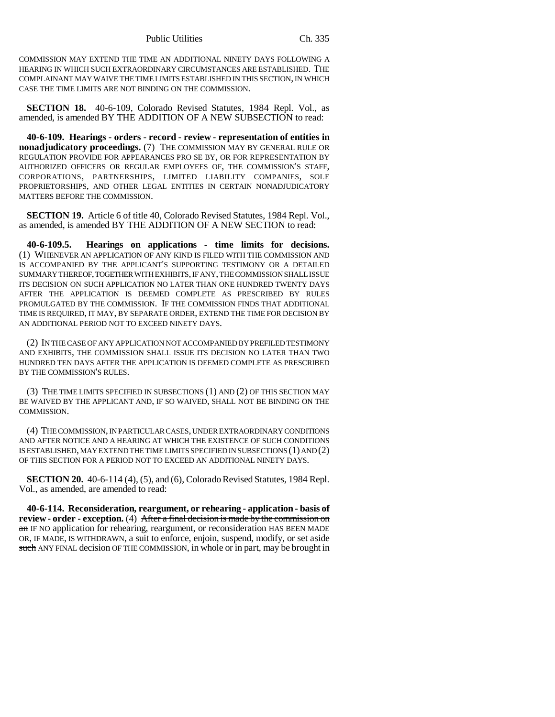COMMISSION MAY EXTEND THE TIME AN ADDITIONAL NINETY DAYS FOLLOWING A HEARING IN WHICH SUCH EXTRAORDINARY CIRCUMSTANCES ARE ESTABLISHED. THE COMPLAINANT MAY WAIVE THE TIME LIMITS ESTABLISHED IN THIS SECTION, IN WHICH CASE THE TIME LIMITS ARE NOT BINDING ON THE COMMISSION.

**SECTION 18.** 40-6-109, Colorado Revised Statutes, 1984 Repl. Vol., as amended, is amended BY THE ADDITION OF A NEW SUBSECTION to read:

**40-6-109. Hearings - orders - record - review - representation of entities in nonadjudicatory proceedings.** (7) THE COMMISSION MAY BY GENERAL RULE OR REGULATION PROVIDE FOR APPEARANCES PRO SE BY, OR FOR REPRESENTATION BY AUTHORIZED OFFICERS OR REGULAR EMPLOYEES OF, THE COMMISSION'S STAFF, CORPORATIONS, PARTNERSHIPS, LIMITED LIABILITY COMPANIES, SOLE PROPRIETORSHIPS, AND OTHER LEGAL ENTITIES IN CERTAIN NONADJUDICATORY MATTERS BEFORE THE COMMISSION.

**SECTION 19.** Article 6 of title 40, Colorado Revised Statutes, 1984 Repl. Vol., as amended, is amended BY THE ADDITION OF A NEW SECTION to read:

**40-6-109.5. Hearings on applications - time limits for decisions.** (1) WHENEVER AN APPLICATION OF ANY KIND IS FILED WITH THE COMMISSION AND IS ACCOMPANIED BY THE APPLICANT'S SUPPORTING TESTIMONY OR A DETAILED SUMMARY THEREOF, TOGETHER WITH EXHIBITS, IF ANY, THE COMMISSION SHALL ISSUE ITS DECISION ON SUCH APPLICATION NO LATER THAN ONE HUNDRED TWENTY DAYS AFTER THE APPLICATION IS DEEMED COMPLETE AS PRESCRIBED BY RULES PROMULGATED BY THE COMMISSION. IF THE COMMISSION FINDS THAT ADDITIONAL TIME IS REQUIRED, IT MAY, BY SEPARATE ORDER, EXTEND THE TIME FOR DECISION BY AN ADDITIONAL PERIOD NOT TO EXCEED NINETY DAYS.

(2) IN THE CASE OF ANY APPLICATION NOT ACCOMPANIED BY PREFILED TESTIMONY AND EXHIBITS, THE COMMISSION SHALL ISSUE ITS DECISION NO LATER THAN TWO HUNDRED TEN DAYS AFTER THE APPLICATION IS DEEMED COMPLETE AS PRESCRIBED BY THE COMMISSION'S RULES.

(3) THE TIME LIMITS SPECIFIED IN SUBSECTIONS (1) AND (2) OF THIS SECTION MAY BE WAIVED BY THE APPLICANT AND, IF SO WAIVED, SHALL NOT BE BINDING ON THE COMMISSION.

(4) THE COMMISSION, IN PARTICULAR CASES, UNDER EXTRAORDINARY CONDITIONS AND AFTER NOTICE AND A HEARING AT WHICH THE EXISTENCE OF SUCH CONDITIONS IS ESTABLISHED, MAY EXTEND THE TIME LIMITS SPECIFIED IN SUBSECTIONS (1) AND (2) OF THIS SECTION FOR A PERIOD NOT TO EXCEED AN ADDITIONAL NINETY DAYS.

**SECTION 20.** 40-6-114 (4), (5), and (6), Colorado Revised Statutes, 1984 Repl. Vol., as amended, are amended to read:

**40-6-114. Reconsideration, reargument, or rehearing - application - basis of review - order - exception.** (4) After a final decision is made by the commission on an IF NO application for rehearing, reargument, or reconsideration HAS BEEN MADE OR, IF MADE, IS WITHDRAWN, a suit to enforce, enjoin, suspend, modify, or set aside such ANY FINAL decision OF THE COMMISSION, in whole or in part, may be brought in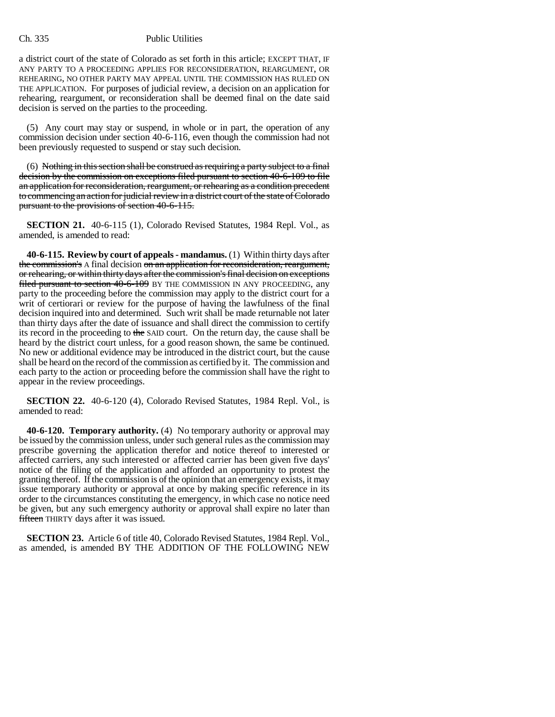a district court of the state of Colorado as set forth in this article; EXCEPT THAT, IF ANY PARTY TO A PROCEEDING APPLIES FOR RECONSIDERATION, REARGUMENT, OR REHEARING, NO OTHER PARTY MAY APPEAL UNTIL THE COMMISSION HAS RULED ON THE APPLICATION. For purposes of judicial review, a decision on an application for rehearing, reargument, or reconsideration shall be deemed final on the date said decision is served on the parties to the proceeding.

(5) Any court may stay or suspend, in whole or in part, the operation of any commission decision under section 40-6-116, even though the commission had not been previously requested to suspend or stay such decision.

 $(6)$  Nothing in this section shall be construed as requiring a party subject to a final decision by the commission on exceptions filed pursuant to section 40-6-109 to file an application for reconsideration, reargument, or rehearing as a condition precedent to commencing an action for judicial review in a district court of the state of Colorado pursuant to the provisions of section 40-6-115.

**SECTION 21.** 40-6-115 (1), Colorado Revised Statutes, 1984 Repl. Vol., as amended, is amended to read:

**40-6-115. Review by court of appeals - mandamus.** (1) Within thirty days after the commission's A final decision on an application for reconsideration, reargument, or rehearing, or within thirty days after the commission's final decision on exceptions filed pursuant to section 40-6-109 BY THE COMMISSION IN ANY PROCEEDING, any party to the proceeding before the commission may apply to the district court for a writ of certiorari or review for the purpose of having the lawfulness of the final decision inquired into and determined. Such writ shall be made returnable not later than thirty days after the date of issuance and shall direct the commission to certify its record in the proceeding to the SAID court. On the return day, the cause shall be heard by the district court unless, for a good reason shown, the same be continued. No new or additional evidence may be introduced in the district court, but the cause shall be heard on the record of the commission as certified by it. The commission and each party to the action or proceeding before the commission shall have the right to appear in the review proceedings.

**SECTION 22.** 40-6-120 (4), Colorado Revised Statutes, 1984 Repl. Vol., is amended to read:

**40-6-120. Temporary authority.** (4) No temporary authority or approval may be issued by the commission unless, under such general rules as the commission may prescribe governing the application therefor and notice thereof to interested or affected carriers, any such interested or affected carrier has been given five days' notice of the filing of the application and afforded an opportunity to protest the granting thereof. If the commission is of the opinion that an emergency exists, it may issue temporary authority or approval at once by making specific reference in its order to the circumstances constituting the emergency, in which case no notice need be given, but any such emergency authority or approval shall expire no later than fifteen THIRTY days after it was issued.

**SECTION 23.** Article 6 of title 40, Colorado Revised Statutes, 1984 Repl. Vol., as amended, is amended BY THE ADDITION OF THE FOLLOWING NEW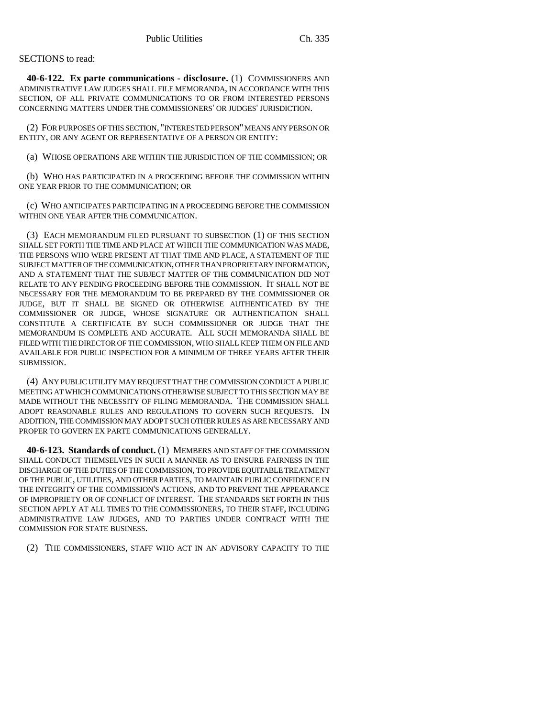# SECTIONS to read:

**40-6-122. Ex parte communications - disclosure.** (1) COMMISSIONERS AND ADMINISTRATIVE LAW JUDGES SHALL FILE MEMORANDA, IN ACCORDANCE WITH THIS SECTION, OF ALL PRIVATE COMMUNICATIONS TO OR FROM INTERESTED PERSONS CONCERNING MATTERS UNDER THE COMMISSIONERS' OR JUDGES' JURISDICTION.

(2) FOR PURPOSES OF THIS SECTION, "INTERESTED PERSON" MEANS ANY PERSON OR ENTITY, OR ANY AGENT OR REPRESENTATIVE OF A PERSON OR ENTITY:

(a) WHOSE OPERATIONS ARE WITHIN THE JURISDICTION OF THE COMMISSION; OR

(b) WHO HAS PARTICIPATED IN A PROCEEDING BEFORE THE COMMISSION WITHIN ONE YEAR PRIOR TO THE COMMUNICATION; OR

(c) WHO ANTICIPATES PARTICIPATING IN A PROCEEDING BEFORE THE COMMISSION WITHIN ONE YEAR AFTER THE COMMUNICATION.

(3) EACH MEMORANDUM FILED PURSUANT TO SUBSECTION (1) OF THIS SECTION SHALL SET FORTH THE TIME AND PLACE AT WHICH THE COMMUNICATION WAS MADE, THE PERSONS WHO WERE PRESENT AT THAT TIME AND PLACE, A STATEMENT OF THE SUBJECT MATTER OF THE COMMUNICATION, OTHER THAN PROPRIETARY INFORMATION, AND A STATEMENT THAT THE SUBJECT MATTER OF THE COMMUNICATION DID NOT RELATE TO ANY PENDING PROCEEDING BEFORE THE COMMISSION. IT SHALL NOT BE NECESSARY FOR THE MEMORANDUM TO BE PREPARED BY THE COMMISSIONER OR JUDGE, BUT IT SHALL BE SIGNED OR OTHERWISE AUTHENTICATED BY THE COMMISSIONER OR JUDGE, WHOSE SIGNATURE OR AUTHENTICATION SHALL CONSTITUTE A CERTIFICATE BY SUCH COMMISSIONER OR JUDGE THAT THE MEMORANDUM IS COMPLETE AND ACCURATE. ALL SUCH MEMORANDA SHALL BE FILED WITH THE DIRECTOR OF THE COMMISSION, WHO SHALL KEEP THEM ON FILE AND AVAILABLE FOR PUBLIC INSPECTION FOR A MINIMUM OF THREE YEARS AFTER THEIR SUBMISSION.

(4) ANY PUBLIC UTILITY MAY REQUEST THAT THE COMMISSION CONDUCT A PUBLIC MEETING AT WHICH COMMUNICATIONS OTHERWISE SUBJECT TO THIS SECTION MAY BE MADE WITHOUT THE NECESSITY OF FILING MEMORANDA. THE COMMISSION SHALL ADOPT REASONABLE RULES AND REGULATIONS TO GOVERN SUCH REQUESTS. IN ADDITION, THE COMMISSION MAY ADOPT SUCH OTHER RULES AS ARE NECESSARY AND PROPER TO GOVERN EX PARTE COMMUNICATIONS GENERALLY.

**40-6-123. Standards of conduct.** (1) MEMBERS AND STAFF OF THE COMMISSION SHALL CONDUCT THEMSELVES IN SUCH A MANNER AS TO ENSURE FAIRNESS IN THE DISCHARGE OF THE DUTIES OF THE COMMISSION, TO PROVIDE EQUITABLE TREATMENT OF THE PUBLIC, UTILITIES, AND OTHER PARTIES, TO MAINTAIN PUBLIC CONFIDENCE IN THE INTEGRITY OF THE COMMISSION'S ACTIONS, AND TO PREVENT THE APPEARANCE OF IMPROPRIETY OR OF CONFLICT OF INTEREST. THE STANDARDS SET FORTH IN THIS SECTION APPLY AT ALL TIMES TO THE COMMISSIONERS, TO THEIR STAFF, INCLUDING ADMINISTRATIVE LAW JUDGES, AND TO PARTIES UNDER CONTRACT WITH THE COMMISSION FOR STATE BUSINESS.

(2) THE COMMISSIONERS, STAFF WHO ACT IN AN ADVISORY CAPACITY TO THE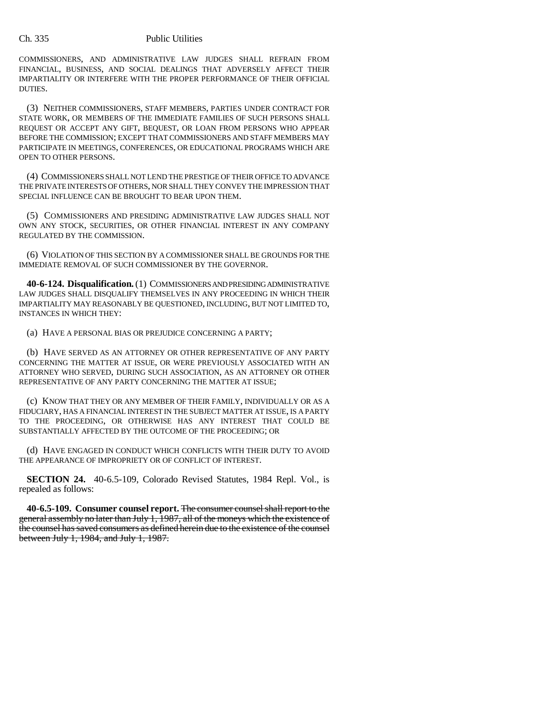COMMISSIONERS, AND ADMINISTRATIVE LAW JUDGES SHALL REFRAIN FROM FINANCIAL, BUSINESS, AND SOCIAL DEALINGS THAT ADVERSELY AFFECT THEIR IMPARTIALITY OR INTERFERE WITH THE PROPER PERFORMANCE OF THEIR OFFICIAL DUTIES.

(3) NEITHER COMMISSIONERS, STAFF MEMBERS, PARTIES UNDER CONTRACT FOR STATE WORK, OR MEMBERS OF THE IMMEDIATE FAMILIES OF SUCH PERSONS SHALL REQUEST OR ACCEPT ANY GIFT, BEQUEST, OR LOAN FROM PERSONS WHO APPEAR BEFORE THE COMMISSION; EXCEPT THAT COMMISSIONERS AND STAFF MEMBERS MAY PARTICIPATE IN MEETINGS, CONFERENCES, OR EDUCATIONAL PROGRAMS WHICH ARE OPEN TO OTHER PERSONS.

(4) COMMISSIONERS SHALL NOT LEND THE PRESTIGE OF THEIR OFFICE TO ADVANCE THE PRIVATE INTERESTS OF OTHERS, NOR SHALL THEY CONVEY THE IMPRESSION THAT SPECIAL INFLUENCE CAN BE BROUGHT TO BEAR UPON THEM.

(5) COMMISSIONERS AND PRESIDING ADMINISTRATIVE LAW JUDGES SHALL NOT OWN ANY STOCK, SECURITIES, OR OTHER FINANCIAL INTEREST IN ANY COMPANY REGULATED BY THE COMMISSION.

(6) VIOLATION OF THIS SECTION BY A COMMISSIONER SHALL BE GROUNDS FOR THE IMMEDIATE REMOVAL OF SUCH COMMISSIONER BY THE GOVERNOR.

**40-6-124. Disqualification.** (1) COMMISSIONERS AND PRESIDING ADMINISTRATIVE LAW JUDGES SHALL DISQUALIFY THEMSELVES IN ANY PROCEEDING IN WHICH THEIR IMPARTIALITY MAY REASONABLY BE QUESTIONED, INCLUDING, BUT NOT LIMITED TO, INSTANCES IN WHICH THEY:

(a) HAVE A PERSONAL BIAS OR PREJUDICE CONCERNING A PARTY;

(b) HAVE SERVED AS AN ATTORNEY OR OTHER REPRESENTATIVE OF ANY PARTY CONCERNING THE MATTER AT ISSUE, OR WERE PREVIOUSLY ASSOCIATED WITH AN ATTORNEY WHO SERVED, DURING SUCH ASSOCIATION, AS AN ATTORNEY OR OTHER REPRESENTATIVE OF ANY PARTY CONCERNING THE MATTER AT ISSUE;

(c) KNOW THAT THEY OR ANY MEMBER OF THEIR FAMILY, INDIVIDUALLY OR AS A FIDUCIARY, HAS A FINANCIAL INTEREST IN THE SUBJECT MATTER AT ISSUE, IS A PARTY TO THE PROCEEDING, OR OTHERWISE HAS ANY INTEREST THAT COULD BE SUBSTANTIALLY AFFECTED BY THE OUTCOME OF THE PROCEEDING; OR

(d) HAVE ENGAGED IN CONDUCT WHICH CONFLICTS WITH THEIR DUTY TO AVOID THE APPEARANCE OF IMPROPRIETY OR OF CONFLICT OF INTEREST.

**SECTION 24.** 40-6.5-109, Colorado Revised Statutes, 1984 Repl. Vol., is repealed as follows:

**40-6.5-109. Consumer counsel report.** The consumer counsel shall report to the general assembly no later than July 1, 1987, all of the moneys which the existence of the counsel has saved consumers as defined herein due to the existence of the counsel between July 1, 1984, and July 1, 1987.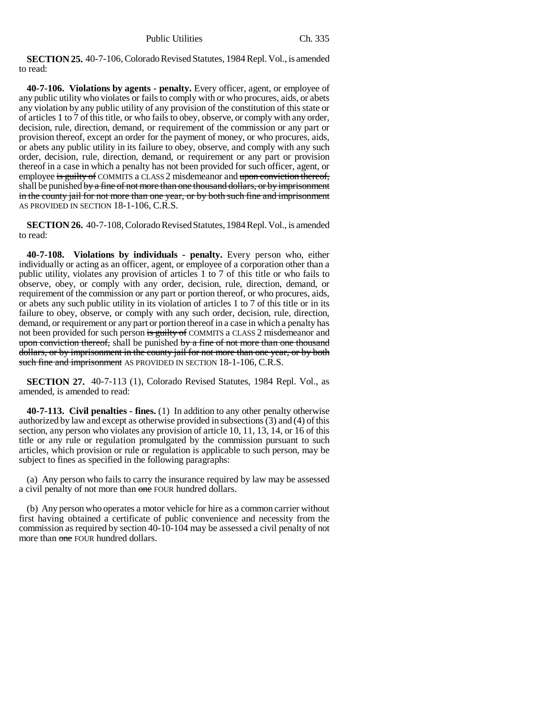**SECTION 25.** 40-7-106, Colorado Revised Statutes, 1984 Repl. Vol., is amended to read:

**40-7-106. Violations by agents - penalty.** Every officer, agent, or employee of any public utility who violates or fails to comply with or who procures, aids, or abets any violation by any public utility of any provision of the constitution of this state or of articles 1 to 7 of this title, or who fails to obey, observe, or comply with any order, decision, rule, direction, demand, or requirement of the commission or any part or provision thereof, except an order for the payment of money, or who procures, aids, or abets any public utility in its failure to obey, observe, and comply with any such order, decision, rule, direction, demand, or requirement or any part or provision thereof in a case in which a penalty has not been provided for such officer, agent, or employee is guilty of COMMITS a CLASS 2 misdemeanor and upon conviction thereof, shall be punished by a fine of not more than one thousand dollars, or by imprisonment in the county jail for not more than one year, or by both such fine and imprisonment AS PROVIDED IN SECTION 18-1-106, C.R.S.

**SECTION 26.** 40-7-108, Colorado Revised Statutes, 1984 Repl. Vol., is amended to read:

**40-7-108. Violations by individuals - penalty.** Every person who, either individually or acting as an officer, agent, or employee of a corporation other than a public utility, violates any provision of articles 1 to 7 of this title or who fails to observe, obey, or comply with any order, decision, rule, direction, demand, or requirement of the commission or any part or portion thereof, or who procures, aids, or abets any such public utility in its violation of articles 1 to 7 of this title or in its failure to obey, observe, or comply with any such order, decision, rule, direction, demand, or requirement or any part or portion thereof in a case in which a penalty has not been provided for such person is guilty of COMMITS a CLASS 2 misdemeanor and upon conviction thereof, shall be punished by a fine of not more than one thousand dollars, or by imprisonment in the county jail for not more than one year, or by both such fine and imprisonment AS PROVIDED IN SECTION 18-1-106, C.R.S.

**SECTION 27.** 40-7-113 (1), Colorado Revised Statutes, 1984 Repl. Vol., as amended, is amended to read:

**40-7-113. Civil penalties - fines.** (1) In addition to any other penalty otherwise authorized by law and except as otherwise provided in subsections (3) and (4) of this section, any person who violates any provision of article 10, 11, 13, 14, or 16 of this title or any rule or regulation promulgated by the commission pursuant to such articles, which provision or rule or regulation is applicable to such person, may be subject to fines as specified in the following paragraphs:

(a) Any person who fails to carry the insurance required by law may be assessed a civil penalty of not more than one FOUR hundred dollars.

(b) Any person who operates a motor vehicle for hire as a common carrier without first having obtained a certificate of public convenience and necessity from the commission as required by section 40-10-104 may be assessed a civil penalty of not more than one FOUR hundred dollars.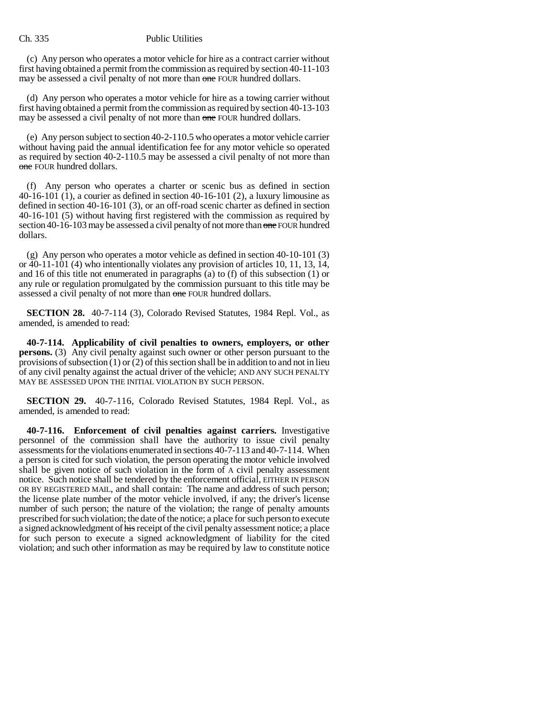(c) Any person who operates a motor vehicle for hire as a contract carrier without first having obtained a permit from the commission as required by section 40-11-103 may be assessed a civil penalty of not more than one FOUR hundred dollars.

(d) Any person who operates a motor vehicle for hire as a towing carrier without first having obtained a permit from the commission as required by section 40-13-103 may be assessed a civil penalty of not more than one FOUR hundred dollars.

(e) Any person subject to section 40-2-110.5 who operates a motor vehicle carrier without having paid the annual identification fee for any motor vehicle so operated as required by section 40-2-110.5 may be assessed a civil penalty of not more than one FOUR hundred dollars.

(f) Any person who operates a charter or scenic bus as defined in section 40-16-101 (1), a courier as defined in section 40-16-101 (2), a luxury limousine as defined in section 40-16-101 (3), or an off-road scenic charter as defined in section 40-16-101 (5) without having first registered with the commission as required by section 40-16-103 may be assessed a civil penalty of not more than one FOUR hundred dollars.

(g) Any person who operates a motor vehicle as defined in section 40-10-101 (3) or 40-11-101 (4) who intentionally violates any provision of articles 10, 11, 13, 14, and 16 of this title not enumerated in paragraphs (a) to (f) of this subsection (1) or any rule or regulation promulgated by the commission pursuant to this title may be assessed a civil penalty of not more than one FOUR hundred dollars.

**SECTION 28.** 40-7-114 (3), Colorado Revised Statutes, 1984 Repl. Vol., as amended, is amended to read:

**40-7-114. Applicability of civil penalties to owners, employers, or other persons.** (3) Any civil penalty against such owner or other person pursuant to the provisions of subsection  $(1)$  or  $(2)$  of this section shall be in addition to and not in lieu of any civil penalty against the actual driver of the vehicle; AND ANY SUCH PENALTY MAY BE ASSESSED UPON THE INITIAL VIOLATION BY SUCH PERSON.

**SECTION 29.** 40-7-116, Colorado Revised Statutes, 1984 Repl. Vol., as amended, is amended to read:

**40-7-116. Enforcement of civil penalties against carriers.** Investigative personnel of the commission shall have the authority to issue civil penalty assessments for the violations enumerated in sections 40-7-113 and 40-7-114. When a person is cited for such violation, the person operating the motor vehicle involved shall be given notice of such violation in the form of A civil penalty assessment notice. Such notice shall be tendered by the enforcement official, EITHER IN PERSON OR BY REGISTERED MAIL, and shall contain: The name and address of such person; the license plate number of the motor vehicle involved, if any; the driver's license number of such person; the nature of the violation; the range of penalty amounts prescribed for such violation; the date of the notice; a place for such person to execute a signed acknowledgment of his receipt of the civil penalty assessment notice; a place for such person to execute a signed acknowledgment of liability for the cited violation; and such other information as may be required by law to constitute notice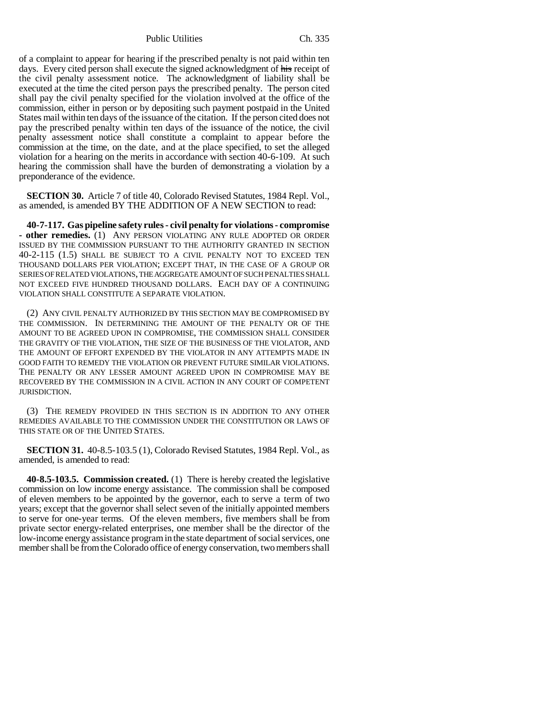Public Utilities Ch. 335

of a complaint to appear for hearing if the prescribed penalty is not paid within ten days. Every cited person shall execute the signed acknowledgment of his receipt of the civil penalty assessment notice. The acknowledgment of liability shall be executed at the time the cited person pays the prescribed penalty. The person cited shall pay the civil penalty specified for the violation involved at the office of the commission, either in person or by depositing such payment postpaid in the United States mail within ten days of the issuance of the citation. If the person cited does not pay the prescribed penalty within ten days of the issuance of the notice, the civil penalty assessment notice shall constitute a complaint to appear before the commission at the time, on the date, and at the place specified, to set the alleged violation for a hearing on the merits in accordance with section 40-6-109. At such hearing the commission shall have the burden of demonstrating a violation by a preponderance of the evidence.

**SECTION 30.** Article 7 of title 40, Colorado Revised Statutes, 1984 Repl. Vol., as amended, is amended BY THE ADDITION OF A NEW SECTION to read:

**40-7-117. Gas pipeline safety rules - civil penalty for violations - compromise - other remedies.** (1) ANY PERSON VIOLATING ANY RULE ADOPTED OR ORDER ISSUED BY THE COMMISSION PURSUANT TO THE AUTHORITY GRANTED IN SECTION 40-2-115 (1.5) SHALL BE SUBJECT TO A CIVIL PENALTY NOT TO EXCEED TEN THOUSAND DOLLARS PER VIOLATION; EXCEPT THAT, IN THE CASE OF A GROUP OR SERIES OF RELATED VIOLATIONS, THE AGGREGATE AMOUNT OF SUCH PENALTIES SHALL NOT EXCEED FIVE HUNDRED THOUSAND DOLLARS. EACH DAY OF A CONTINUING VIOLATION SHALL CONSTITUTE A SEPARATE VIOLATION.

(2) ANY CIVIL PENALTY AUTHORIZED BY THIS SECTION MAY BE COMPROMISED BY THE COMMISSION. IN DETERMINING THE AMOUNT OF THE PENALTY OR OF THE AMOUNT TO BE AGREED UPON IN COMPROMISE, THE COMMISSION SHALL CONSIDER THE GRAVITY OF THE VIOLATION, THE SIZE OF THE BUSINESS OF THE VIOLATOR, AND THE AMOUNT OF EFFORT EXPENDED BY THE VIOLATOR IN ANY ATTEMPTS MADE IN GOOD FAITH TO REMEDY THE VIOLATION OR PREVENT FUTURE SIMILAR VIOLATIONS. THE PENALTY OR ANY LESSER AMOUNT AGREED UPON IN COMPROMISE MAY BE RECOVERED BY THE COMMISSION IN A CIVIL ACTION IN ANY COURT OF COMPETENT JURISDICTION.

(3) THE REMEDY PROVIDED IN THIS SECTION IS IN ADDITION TO ANY OTHER REMEDIES AVAILABLE TO THE COMMISSION UNDER THE CONSTITUTION OR LAWS OF THIS STATE OR OF THE UNITED STATES.

**SECTION 31.** 40-8.5-103.5 (1), Colorado Revised Statutes, 1984 Repl. Vol., as amended, is amended to read:

**40-8.5-103.5. Commission created.** (1) There is hereby created the legislative commission on low income energy assistance. The commission shall be composed of eleven members to be appointed by the governor, each to serve a term of two years; except that the governor shall select seven of the initially appointed members to serve for one-year terms. Of the eleven members, five members shall be from private sector energy-related enterprises, one member shall be the director of the low-income energy assistance program in the state department of social services, one member shall be from the Colorado office of energy conservation, two members shall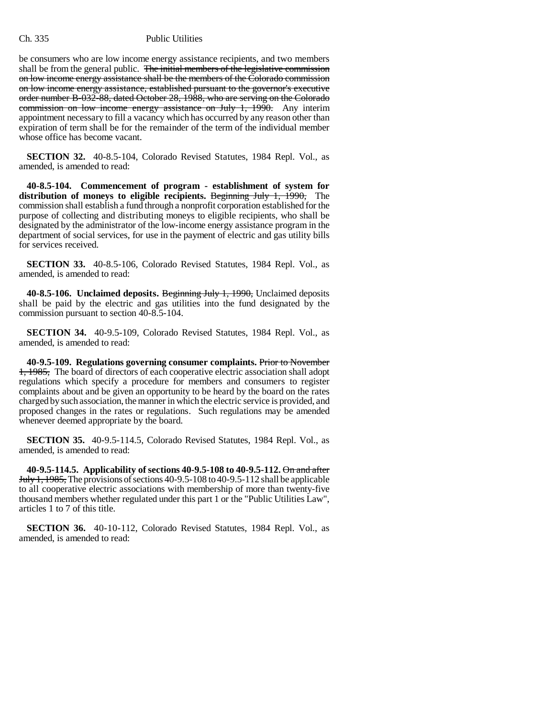be consumers who are low income energy assistance recipients, and two members shall be from the general public. The initial members of the legislative commission on low income energy assistance shall be the members of the Colorado commission on low income energy assistance, established pursuant to the governor's executive order number B-032-88, dated October 28, 1988, who are serving on the Colorado commission on low income energy assistance on July 1, 1990. Any interim appointment necessary to fill a vacancy which has occurred by any reason other than expiration of term shall be for the remainder of the term of the individual member whose office has become vacant.

**SECTION 32.** 40-8.5-104, Colorado Revised Statutes, 1984 Repl. Vol., as amended, is amended to read:

**40-8.5-104. Commencement of program - establishment of system for** distribution of moneys to eligible recipients. Beginning July 1, 1990, The commission shall establish a fund through a nonprofit corporation established for the purpose of collecting and distributing moneys to eligible recipients, who shall be designated by the administrator of the low-income energy assistance program in the department of social services, for use in the payment of electric and gas utility bills for services received.

**SECTION 33.** 40-8.5-106, Colorado Revised Statutes, 1984 Repl. Vol., as amended, is amended to read:

**40-8.5-106. Unclaimed deposits.** Beginning July 1, 1990, Unclaimed deposits shall be paid by the electric and gas utilities into the fund designated by the commission pursuant to section 40-8.5-104.

**SECTION 34.** 40-9.5-109, Colorado Revised Statutes, 1984 Repl. Vol., as amended, is amended to read:

**40-9.5-109. Regulations governing consumer complaints.** Prior to November 1, 1985, The board of directors of each cooperative electric association shall adopt regulations which specify a procedure for members and consumers to register complaints about and be given an opportunity to be heard by the board on the rates charged by such association, the manner in which the electric service is provided, and proposed changes in the rates or regulations. Such regulations may be amended whenever deemed appropriate by the board.

**SECTION 35.** 40-9.5-114.5, Colorado Revised Statutes, 1984 Repl. Vol., as amended, is amended to read:

**40-9.5-114.5. Applicability of sections 40-9.5-108 to 40-9.5-112.** On and after July 1, 1985, The provisions of sections 40-9.5-108 to 40-9.5-112 shall be applicable to all cooperative electric associations with membership of more than twenty-five thousand members whether regulated under this part 1 or the "Public Utilities Law", articles 1 to 7 of this title.

**SECTION 36.** 40-10-112, Colorado Revised Statutes, 1984 Repl. Vol., as amended, is amended to read: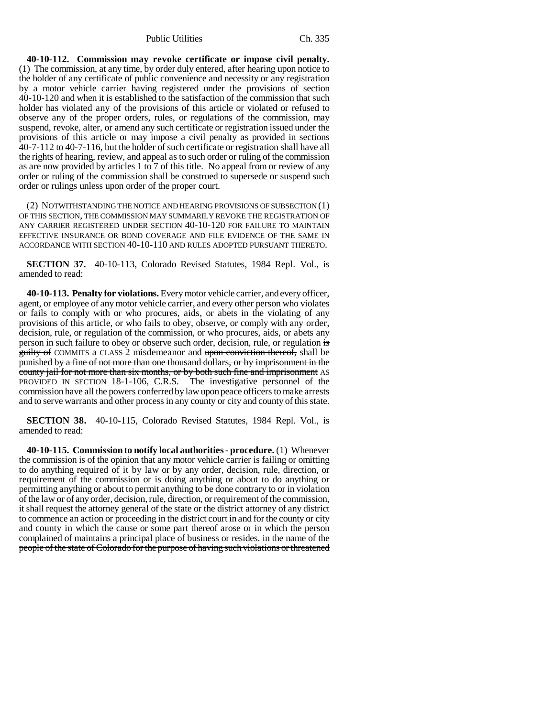Public Utilities Ch. 335

**40-10-112. Commission may revoke certificate or impose civil penalty.** (1) The commission, at any time, by order duly entered, after hearing upon notice to the holder of any certificate of public convenience and necessity or any registration by a motor vehicle carrier having registered under the provisions of section 40-10-120 and when it is established to the satisfaction of the commission that such holder has violated any of the provisions of this article or violated or refused to observe any of the proper orders, rules, or regulations of the commission, may suspend, revoke, alter, or amend any such certificate or registration issued under the provisions of this article or may impose a civil penalty as provided in sections 40-7-112 to 40-7-116, but the holder of such certificate or registration shall have all the rights of hearing, review, and appeal as to such order or ruling of the commission as are now provided by articles 1 to 7 of this title. No appeal from or review of any order or ruling of the commission shall be construed to supersede or suspend such order or rulings unless upon order of the proper court.

(2) NOTWITHSTANDING THE NOTICE AND HEARING PROVISIONS OF SUBSECTION (1) OF THIS SECTION, THE COMMISSION MAY SUMMARILY REVOKE THE REGISTRATION OF ANY CARRIER REGISTERED UNDER SECTION 40-10-120 FOR FAILURE TO MAINTAIN EFFECTIVE INSURANCE OR BOND COVERAGE AND FILE EVIDENCE OF THE SAME IN ACCORDANCE WITH SECTION 40-10-110 AND RULES ADOPTED PURSUANT THERETO.

**SECTION 37.** 40-10-113, Colorado Revised Statutes, 1984 Repl. Vol., is amended to read:

**40-10-113. Penalty for violations.** Every motor vehicle carrier, and every officer, agent, or employee of any motor vehicle carrier, and every other person who violates or fails to comply with or who procures, aids, or abets in the violating of any provisions of this article, or who fails to obey, observe, or comply with any order, decision, rule, or regulation of the commission, or who procures, aids, or abets any person in such failure to obey or observe such order, decision, rule, or regulation is guilty of COMMITS a CLASS 2 misdemeanor and upon conviction thereof, shall be punished by a fine of not more than one thousand dollars, or by imprisonment in the county jail for not more than six months, or by both such fine and imprisonment AS PROVIDED IN SECTION 18-1-106, C.R.S. The investigative personnel of the commission have all the powers conferred by law upon peace officers to make arrests and to serve warrants and other process in any county or city and county of this state.

**SECTION 38.** 40-10-115, Colorado Revised Statutes, 1984 Repl. Vol., is amended to read:

**40-10-115. Commission to notify local authorities - procedure.** (1) Whenever the commission is of the opinion that any motor vehicle carrier is failing or omitting to do anything required of it by law or by any order, decision, rule, direction, or requirement of the commission or is doing anything or about to do anything or permitting anything or about to permit anything to be done contrary to or in violation of the law or of any order, decision, rule, direction, or requirement of the commission, it shall request the attorney general of the state or the district attorney of any district to commence an action or proceeding in the district court in and for the county or city and county in which the cause or some part thereof arose or in which the person complained of maintains a principal place of business or resides. in the name of the people of the state of Colorado for the purpose of having such violations or threatened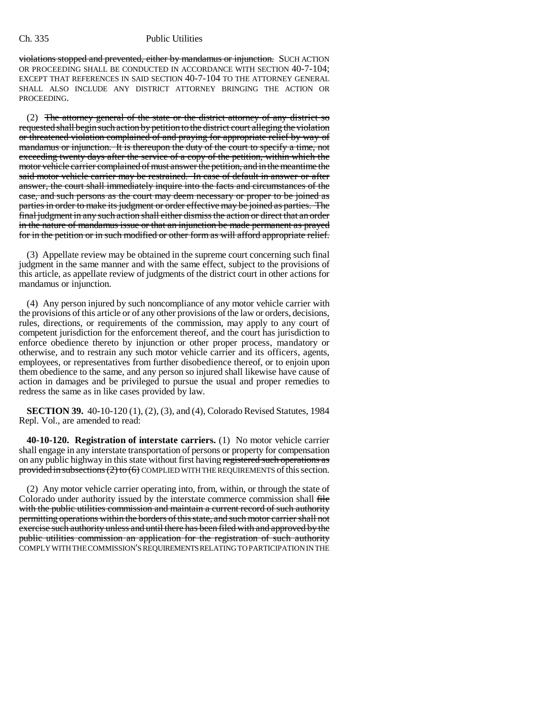violations stopped and prevented, either by mandamus or injunction. SUCH ACTION OR PROCEEDING SHALL BE CONDUCTED IN ACCORDANCE WITH SECTION 40-7-104; EXCEPT THAT REFERENCES IN SAID SECTION 40-7-104 TO THE ATTORNEY GENERAL SHALL ALSO INCLUDE ANY DISTRICT ATTORNEY BRINGING THE ACTION OR PROCEEDING.

(2) The attorney general of the state or the district attorney of any district so requested shall begin such action by petition to the district court alleging the violation or threatened violation complained of and praying for appropriate relief by way of mandamus or injunction. It is thereupon the duty of the court to specify a time, not exceeding twenty days after the service of a copy of the petition, within which the motor vehicle carrier complained of must answer the petition, and in the meantime the said motor vehicle carrier may be restrained. In case of default in answer or after answer, the court shall immediately inquire into the facts and circumstances of the case, and such persons as the court may deem necessary or proper to be joined as parties in order to make its judgment or order effective may be joined as parties. The final judgment in any such action shall either dismiss the action or direct that an order in the nature of mandamus issue or that an injunction be made permanent as prayed for in the petition or in such modified or other form as will afford appropriate relief.

(3) Appellate review may be obtained in the supreme court concerning such final judgment in the same manner and with the same effect, subject to the provisions of this article, as appellate review of judgments of the district court in other actions for mandamus or injunction.

(4) Any person injured by such noncompliance of any motor vehicle carrier with the provisions of this article or of any other provisions of the law or orders, decisions, rules, directions, or requirements of the commission, may apply to any court of competent jurisdiction for the enforcement thereof, and the court has jurisdiction to enforce obedience thereto by injunction or other proper process, mandatory or otherwise, and to restrain any such motor vehicle carrier and its officers, agents, employees, or representatives from further disobedience thereof, or to enjoin upon them obedience to the same, and any person so injured shall likewise have cause of action in damages and be privileged to pursue the usual and proper remedies to redress the same as in like cases provided by law.

**SECTION 39.** 40-10-120 (1), (2), (3), and (4), Colorado Revised Statutes, 1984 Repl. Vol., are amended to read:

**40-10-120. Registration of interstate carriers.** (1) No motor vehicle carrier shall engage in any interstate transportation of persons or property for compensation on any public highway in this state without first having registered such operations as provided in subsections  $(2)$  to  $(6)$  COMPLIED WITH THE REQUIREMENTS of this section.

(2) Any motor vehicle carrier operating into, from, within, or through the state of Colorado under authority issued by the interstate commerce commission shall file with the public utilities commission and maintain a current record of such authority permitting operations within the borders of this state, and such motor carrier shall not exercise such authority unless and until there has been filed with and approved by the public utilities commission an application for the registration of such authority COMPLY WITH THE COMMISSION'S REQUIREMENTS RELATING TO PARTICIPATION IN THE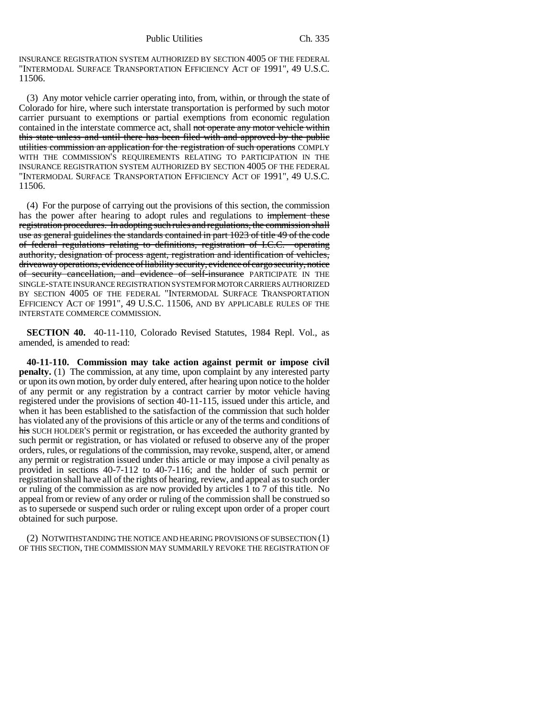INSURANCE REGISTRATION SYSTEM AUTHORIZED BY SECTION 4005 OF THE FEDERAL "INTERMODAL SURFACE TRANSPORTATION EFFICIENCY ACT OF 1991", 49 U.S.C. 11506.

(3) Any motor vehicle carrier operating into, from, within, or through the state of Colorado for hire, where such interstate transportation is performed by such motor carrier pursuant to exemptions or partial exemptions from economic regulation contained in the interstate commerce act, shall not operate any motor vehicle within this state unless and until there has been filed with and approved by the public utilities commission an application for the registration of such operations COMPLY WITH THE COMMISSION'S REQUIREMENTS RELATING TO PARTICIPATION IN THE INSURANCE REGISTRATION SYSTEM AUTHORIZED BY SECTION 4005 OF THE FEDERAL "INTERMODAL SURFACE TRANSPORTATION EFFICIENCY ACT OF 1991", 49 U.S.C. 11506.

(4) For the purpose of carrying out the provisions of this section, the commission has the power after hearing to adopt rules and regulations to implement these registration procedures. In adopting such rules and regulations, the commission shall use as general guidelines the standards contained in part 1023 of title 49 of the code of federal regulations relating to definitions, registration of I.C.C. operating authority, designation of process agent, registration and identification of vehicles, driveaway operations, evidence of liability security, evidence of cargo security, notice of security cancellation, and evidence of self-insurance PARTICIPATE IN THE SINGLE-STATE INSURANCE REGISTRATION SYSTEM FOR MOTOR CARRIERS AUTHORIZED BY SECTION 4005 OF THE FEDERAL "INTERMODAL SURFACE TRANSPORTATION EFFICIENCY ACT OF 1991", 49 U.S.C. 11506, AND BY APPLICABLE RULES OF THE INTERSTATE COMMERCE COMMISSION.

**SECTION 40.** 40-11-110, Colorado Revised Statutes, 1984 Repl. Vol., as amended, is amended to read:

**40-11-110. Commission may take action against permit or impose civil penalty.** (1) The commission, at any time, upon complaint by any interested party or upon its own motion, by order duly entered, after hearing upon notice to the holder of any permit or any registration by a contract carrier by motor vehicle having registered under the provisions of section 40-11-115, issued under this article, and when it has been established to the satisfaction of the commission that such holder has violated any of the provisions of this article or any of the terms and conditions of his SUCH HOLDER's permit or registration, or has exceeded the authority granted by such permit or registration, or has violated or refused to observe any of the proper orders, rules, or regulations of the commission, may revoke, suspend, alter, or amend any permit or registration issued under this article or may impose a civil penalty as provided in sections 40-7-112 to 40-7-116; and the holder of such permit or registration shall have all of the rights of hearing, review, and appeal as to such order or ruling of the commission as are now provided by articles 1 to 7 of this title. No appeal from or review of any order or ruling of the commission shall be construed so as to supersede or suspend such order or ruling except upon order of a proper court obtained for such purpose.

(2) NOTWITHSTANDING THE NOTICE AND HEARING PROVISIONS OF SUBSECTION (1) OF THIS SECTION, THE COMMISSION MAY SUMMARILY REVOKE THE REGISTRATION OF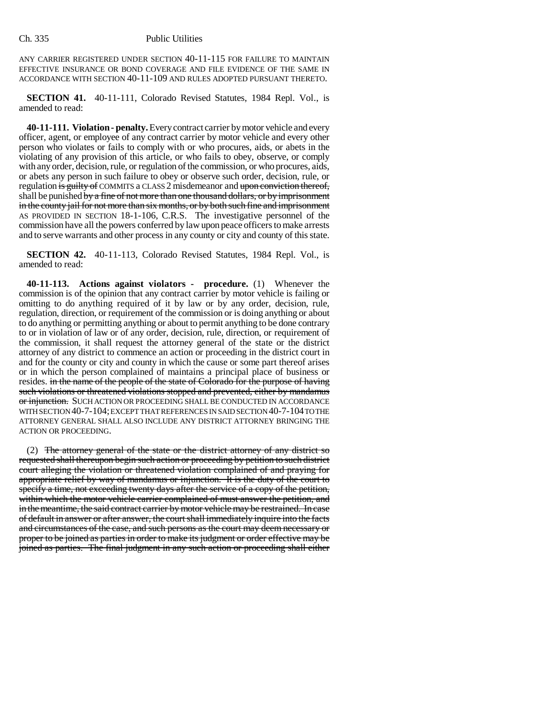ANY CARRIER REGISTERED UNDER SECTION 40-11-115 FOR FAILURE TO MAINTAIN EFFECTIVE INSURANCE OR BOND COVERAGE AND FILE EVIDENCE OF THE SAME IN ACCORDANCE WITH SECTION 40-11-109 AND RULES ADOPTED PURSUANT THERETO.

**SECTION 41.** 40-11-111, Colorado Revised Statutes, 1984 Repl. Vol., is amended to read:

**40-11-111. Violation - penalty.** Every contract carrier by motor vehicle and every officer, agent, or employee of any contract carrier by motor vehicle and every other person who violates or fails to comply with or who procures, aids, or abets in the violating of any provision of this article, or who fails to obey, observe, or comply with any order, decision, rule, or regulation of the commission, or who procures, aids, or abets any person in such failure to obey or observe such order, decision, rule, or regulation is guilty of COMMITS a CLASS 2 misdemeanor and upon conviction thereof, shall be punished by a fine of not more than one thousand dollars, or by imprisonment in the county jail for not more than six months, or by both such fine and imprisonment AS PROVIDED IN SECTION 18-1-106, C.R.S. The investigative personnel of the commission have all the powers conferred by law upon peace officers to make arrests and to serve warrants and other process in any county or city and county of this state.

**SECTION 42.** 40-11-113, Colorado Revised Statutes, 1984 Repl. Vol., is amended to read:

**40-11-113. Actions against violators - procedure.** (1) Whenever the commission is of the opinion that any contract carrier by motor vehicle is failing or omitting to do anything required of it by law or by any order, decision, rule, regulation, direction, or requirement of the commission or is doing anything or about to do anything or permitting anything or about to permit anything to be done contrary to or in violation of law or of any order, decision, rule, direction, or requirement of the commission, it shall request the attorney general of the state or the district attorney of any district to commence an action or proceeding in the district court in and for the county or city and county in which the cause or some part thereof arises or in which the person complained of maintains a principal place of business or resides. in the name of the people of the state of Colorado for the purpose of having such violations or threatened violations stopped and prevented, either by mandamus or injunction. SUCH ACTION OR PROCEEDING SHALL BE CONDUCTED IN ACCORDANCE WITH SECTION 40-7-104; EXCEPT THAT REFERENCES IN SAID SECTION 40-7-104 TO THE ATTORNEY GENERAL SHALL ALSO INCLUDE ANY DISTRICT ATTORNEY BRINGING THE ACTION OR PROCEEDING.

(2) The attorney general of the state or the district attorney of any district so requested shall thereupon begin such action or proceeding by petition to such district court alleging the violation or threatened violation complained of and praying for appropriate relief by way of mandamus or injunction. It is the duty of the court to specify a time, not exceeding twenty days after the service of a copy of the petition, within which the motor vehicle carrier complained of must answer the petition, and in the meantime, the said contract carrier by motor vehicle may be restrained. In case of default in answer or after answer, the court shall immediately inquire into the facts and circumstances of the case, and such persons as the court may deem necessary or proper to be joined as parties in order to make its judgment or order effective may be joined as parties. The final judgment in any such action or proceeding shall either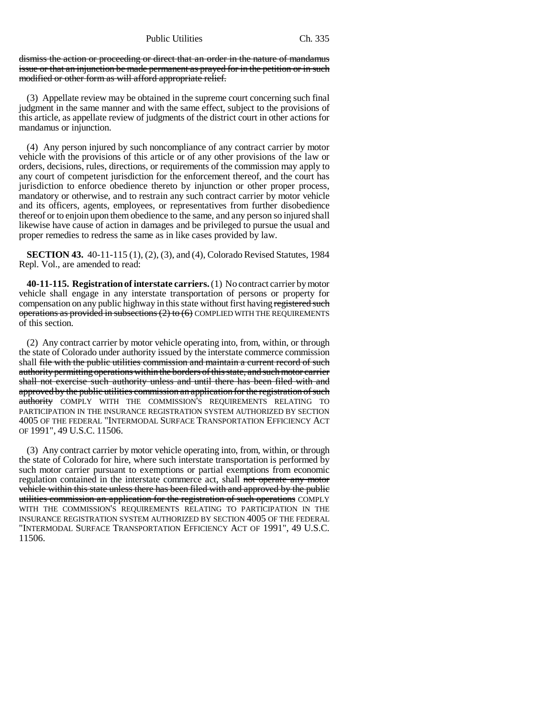dismiss the action or proceeding or direct that an order in the nature of mandamus issue or that an injunction be made permanent as prayed for in the petition or in such modified or other form as will afford appropriate relief.

(3) Appellate review may be obtained in the supreme court concerning such final judgment in the same manner and with the same effect, subject to the provisions of this article, as appellate review of judgments of the district court in other actions for mandamus or injunction.

(4) Any person injured by such noncompliance of any contract carrier by motor vehicle with the provisions of this article or of any other provisions of the law or orders, decisions, rules, directions, or requirements of the commission may apply to any court of competent jurisdiction for the enforcement thereof, and the court has jurisdiction to enforce obedience thereto by injunction or other proper process, mandatory or otherwise, and to restrain any such contract carrier by motor vehicle and its officers, agents, employees, or representatives from further disobedience thereof or to enjoin upon them obedience to the same, and any person so injured shall likewise have cause of action in damages and be privileged to pursue the usual and proper remedies to redress the same as in like cases provided by law.

**SECTION 43.** 40-11-115 (1), (2), (3), and (4), Colorado Revised Statutes, 1984 Repl. Vol., are amended to read:

**40-11-115. Registration of interstate carriers.** (1) No contract carrier by motor vehicle shall engage in any interstate transportation of persons or property for compensation on any public highway in this state without first having registered such operations as provided in subsections (2) to (6) COMPLIED WITH THE REQUIREMENTS of this section.

(2) Any contract carrier by motor vehicle operating into, from, within, or through the state of Colorado under authority issued by the interstate commerce commission shall file with the public utilities commission and maintain a current record of such authority permitting operations within the borders of this state, and such motor carrier shall not exercise such authority unless and until there has been filed with and approved by the public utilities commission an application for the registration of such authority COMPLY WITH THE COMMISSION'S REQUIREMENTS RELATING TO PARTICIPATION IN THE INSURANCE REGISTRATION SYSTEM AUTHORIZED BY SECTION 4005 OF THE FEDERAL "INTERMODAL SURFACE TRANSPORTATION EFFICIENCY ACT OF 1991", 49 U.S.C. 11506.

(3) Any contract carrier by motor vehicle operating into, from, within, or through the state of Colorado for hire, where such interstate transportation is performed by such motor carrier pursuant to exemptions or partial exemptions from economic regulation contained in the interstate commerce act, shall not operate any motor vehicle within this state unless there has been filed with and approved by the public utilities commission an application for the registration of such operations COMPLY WITH THE COMMISSION'S REQUIREMENTS RELATING TO PARTICIPATION IN THE INSURANCE REGISTRATION SYSTEM AUTHORIZED BY SECTION 4005 OF THE FEDERAL "INTERMODAL SURFACE TRANSPORTATION EFFICIENCY ACT OF 1991", 49 U.S.C. 11506.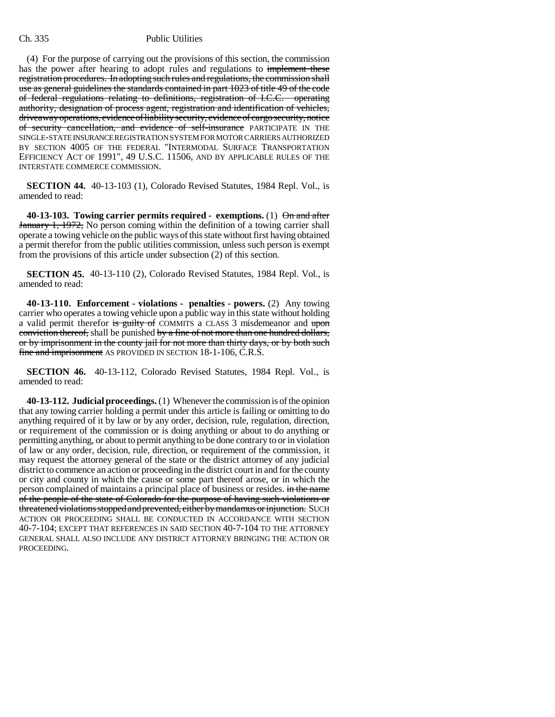(4) For the purpose of carrying out the provisions of this section, the commission has the power after hearing to adopt rules and regulations to implement these registration procedures. In adopting such rules and regulations, the commission shall use as general guidelines the standards contained in part 1023 of title 49 of the code of federal regulations relating to definitions, registration of I.C.C. operating authority, designation of process agent, registration and identification of vehicles, driveaway operations, evidence of liability security, evidence of cargo security, notice of security cancellation, and evidence of self-insurance PARTICIPATE IN THE SINGLE-STATE INSURANCE REGISTRATION SYSTEM FOR MOTOR CARRIERS AUTHORIZED BY SECTION 4005 OF THE FEDERAL "INTERMODAL SURFACE TRANSPORTATION EFFICIENCY ACT OF 1991", 49 U.S.C. 11506, AND BY APPLICABLE RULES OF THE INTERSTATE COMMERCE COMMISSION.

**SECTION 44.** 40-13-103 (1), Colorado Revised Statutes, 1984 Repl. Vol., is amended to read:

**40-13-103. Towing carrier permits required - exemptions.** (1) On and after January 1, 1972, No person coming within the definition of a towing carrier shall operate a towing vehicle on the public ways of this state without first having obtained a permit therefor from the public utilities commission, unless such person is exempt from the provisions of this article under subsection (2) of this section.

**SECTION 45.** 40-13-110 (2), Colorado Revised Statutes, 1984 Repl. Vol., is amended to read:

**40-13-110. Enforcement - violations - penalties - powers.** (2) Any towing carrier who operates a towing vehicle upon a public way in this state without holding a valid permit therefor is guilty of COMMITS a CLASS 3 misdemeanor and upon conviction thereof, shall be punished by a fine of not more than one hundred dollars, or by imprisonment in the county jail for not more than thirty days, or by both such fine and imprisonment AS PROVIDED IN SECTION 18-1-106, C.R.S.

**SECTION 46.** 40-13-112, Colorado Revised Statutes, 1984 Repl. Vol., is amended to read:

**40-13-112. Judicial proceedings.** (1) Whenever the commission is of the opinion that any towing carrier holding a permit under this article is failing or omitting to do anything required of it by law or by any order, decision, rule, regulation, direction, or requirement of the commission or is doing anything or about to do anything or permitting anything, or about to permit anything to be done contrary to or in violation of law or any order, decision, rule, direction, or requirement of the commission, it may request the attorney general of the state or the district attorney of any judicial district to commence an action or proceeding in the district court in and for the county or city and county in which the cause or some part thereof arose, or in which the person complained of maintains a principal place of business or resides. in the name of the people of the state of Colorado for the purpose of having such violations or threatened violations stopped and prevented, either by mandamus or injunction. SUCH ACTION OR PROCEEDING SHALL BE CONDUCTED IN ACCORDANCE WITH SECTION 40-7-104; EXCEPT THAT REFERENCES IN SAID SECTION 40-7-104 TO THE ATTORNEY GENERAL SHALL ALSO INCLUDE ANY DISTRICT ATTORNEY BRINGING THE ACTION OR PROCEEDING.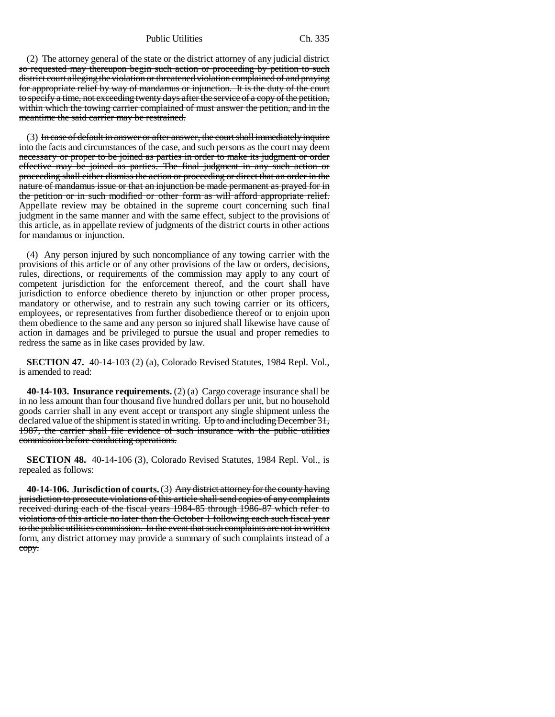Public Utilities Ch. 335

(2) The attorney general of the state or the district attorney of any judicial district so requested may thereupon begin such action or proceeding by petition to such district court alleging the violation or threatened violation complained of and praying for appropriate relief by way of mandamus or injunction. It is the duty of the court to specify a time, not exceeding twenty days after the service of a copy of the petition, within which the towing carrier complained of must answer the petition, and in the meantime the said carrier may be restrained.

 $(3)$  In case of default in answer or after answer, the court shall immediately inquire into the facts and circumstances of the case, and such persons as the court may deem necessary or proper to be joined as parties in order to make its judgment or order effective may be joined as parties. The final judgment in any such action or proceeding shall either dismiss the action or proceeding or direct that an order in the nature of mandamus issue or that an injunction be made permanent as prayed for in the petition or in such modified or other form as will afford appropriate relief. Appellate review may be obtained in the supreme court concerning such final judgment in the same manner and with the same effect, subject to the provisions of this article, as in appellate review of judgments of the district courts in other actions for mandamus or injunction.

(4) Any person injured by such noncompliance of any towing carrier with the provisions of this article or of any other provisions of the law or orders, decisions, rules, directions, or requirements of the commission may apply to any court of competent jurisdiction for the enforcement thereof, and the court shall have jurisdiction to enforce obedience thereto by injunction or other proper process, mandatory or otherwise, and to restrain any such towing carrier or its officers, employees, or representatives from further disobedience thereof or to enjoin upon them obedience to the same and any person so injured shall likewise have cause of action in damages and be privileged to pursue the usual and proper remedies to redress the same as in like cases provided by law.

**SECTION 47.** 40-14-103 (2) (a), Colorado Revised Statutes, 1984 Repl. Vol., is amended to read:

**40-14-103. Insurance requirements.** (2) (a) Cargo coverage insurance shall be in no less amount than four thousand five hundred dollars per unit, but no household goods carrier shall in any event accept or transport any single shipment unless the declared value of the shipment is stated in writing. Up to and including December 31, 1987, the carrier shall file evidence of such insurance with the public utilities commission before conducting operations.

**SECTION 48.** 40-14-106 (3), Colorado Revised Statutes, 1984 Repl. Vol., is repealed as follows:

**40-14-106. Jurisdiction of courts.** (3) Any district attorney for the county having jurisdiction to prosecute violations of this article shall send copies of any complaints received during each of the fiscal years 1984-85 through 1986-87 which refer to violations of this article no later than the October 1 following each such fiscal year to the public utilities commission. In the event that such complaints are not in written form, any district attorney may provide a summary of such complaints instead of a copy.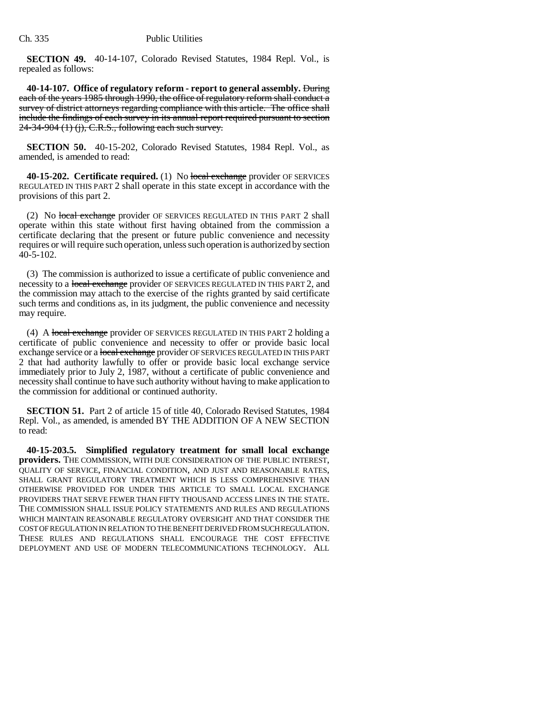**SECTION 49.** 40-14-107, Colorado Revised Statutes, 1984 Repl. Vol., is repealed as follows:

**40-14-107. Office of regulatory reform - report to general assembly.** During each of the years 1985 through 1990, the office of regulatory reform shall conduct a survey of district attorneys regarding compliance with this article. The office shall include the findings of each survey in its annual report required pursuant to section 24-34-904 (1) (j), C.R.S., following each such survey.

**SECTION 50.** 40-15-202, Colorado Revised Statutes, 1984 Repl. Vol., as amended, is amended to read:

**40-15-202. Certificate required.** (1) No local exchange provider OF SERVICES REGULATED IN THIS PART 2 shall operate in this state except in accordance with the provisions of this part 2.

(2) No local exchange provider OF SERVICES REGULATED IN THIS PART 2 shall operate within this state without first having obtained from the commission a certificate declaring that the present or future public convenience and necessity requires or will require such operation, unless such operation is authorized by section 40-5-102.

(3) The commission is authorized to issue a certificate of public convenience and necessity to a local exchange provider OF SERVICES REGULATED IN THIS PART 2, and the commission may attach to the exercise of the rights granted by said certificate such terms and conditions as, in its judgment, the public convenience and necessity may require.

(4) A local exchange provider OF SERVICES REGULATED IN THIS PART 2 holding a certificate of public convenience and necessity to offer or provide basic local exchange service or a local exchange provider OF SERVICES REGULATED IN THIS PART 2 that had authority lawfully to offer or provide basic local exchange service immediately prior to July 2, 1987, without a certificate of public convenience and necessity shall continue to have such authority without having to make application to the commission for additional or continued authority.

**SECTION 51.** Part 2 of article 15 of title 40, Colorado Revised Statutes, 1984 Repl. Vol., as amended, is amended BY THE ADDITION OF A NEW SECTION to read:

**40-15-203.5. Simplified regulatory treatment for small local exchange providers.** THE COMMISSION, WITH DUE CONSIDERATION OF THE PUBLIC INTEREST, QUALITY OF SERVICE, FINANCIAL CONDITION, AND JUST AND REASONABLE RATES, SHALL GRANT REGULATORY TREATMENT WHICH IS LESS COMPREHENSIVE THAN OTHERWISE PROVIDED FOR UNDER THIS ARTICLE TO SMALL LOCAL EXCHANGE PROVIDERS THAT SERVE FEWER THAN FIFTY THOUSAND ACCESS LINES IN THE STATE. THE COMMISSION SHALL ISSUE POLICY STATEMENTS AND RULES AND REGULATIONS WHICH MAINTAIN REASONABLE REGULATORY OVERSIGHT AND THAT CONSIDER THE COST OF REGULATION IN RELATION TO THE BENEFIT DERIVED FROM SUCH REGULATION. THESE RULES AND REGULATIONS SHALL ENCOURAGE THE COST EFFECTIVE DEPLOYMENT AND USE OF MODERN TELECOMMUNICATIONS TECHNOLOGY. ALL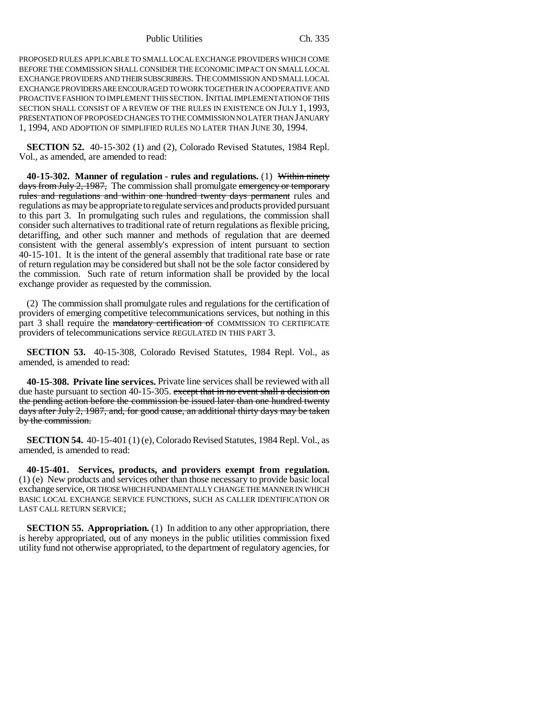Public Utilities Ch. 335

PROPOSED RULES APPLICABLE TO SMALL LOCAL EXCHANGE PROVIDERS WHICH COME BEFORE THE COMMISSION SHALL CONSIDER THE ECONOMIC IMPACT ON SMALL LOCAL EXCHANGE PROVIDERS AND THEIR SUBSCRIBERS. THE COMMISSION AND SMALL LOCAL EXCHANGE PROVIDERS ARE ENCOURAGED TO WORK TOGETHER IN A COOPERATIVE AND PROACTIVE FASHION TO IMPLEMENT THIS SECTION. INITIAL IMPLEMENTATION OF THIS SECTION SHALL CONSIST OF A REVIEW OF THE RULES IN EXISTENCE ON JULY 1, 1993, PRESENTATION OF PROPOSED CHANGES TO THE COMMISSION NO LATER THAN JANUARY 1, 1994, AND ADOPTION OF SIMPLIFIED RULES NO LATER THAN JUNE 30, 1994.

**SECTION 52.** 40-15-302 (1) and (2), Colorado Revised Statutes, 1984 Repl. Vol., as amended, are amended to read:

**40-15-302. Manner of regulation - rules and regulations.** (1) Within ninety days from July 2, 1987, The commission shall promulgate emergency or temporary rules and regulations and within one hundred twenty days permanent rules and regulations as may be appropriate to regulate services and products provided pursuant to this part 3. In promulgating such rules and regulations, the commission shall consider such alternatives to traditional rate of return regulations as flexible pricing, detariffing, and other such manner and methods of regulation that are deemed consistent with the general assembly's expression of intent pursuant to section 40-15-101. It is the intent of the general assembly that traditional rate base or rate of return regulation may be considered but shall not be the sole factor considered by the commission. Such rate of return information shall be provided by the local exchange provider as requested by the commission.

(2) The commission shall promulgate rules and regulations for the certification of providers of emerging competitive telecommunications services, but nothing in this part 3 shall require the mandatory certification of COMMISSION TO CERTIFICATE providers of telecommunications service REGULATED IN THIS PART 3.

**SECTION 53.** 40-15-308, Colorado Revised Statutes, 1984 Repl. Vol., as amended, is amended to read:

**40-15-308. Private line services.** Private line services shall be reviewed with all due haste pursuant to section 40-15-305. except that in no event shall a decision on the pending action before the commission be issued later than one hundred twenty days after July 2, 1987, and, for good cause, an additional thirty days may be taken by the commission.

**SECTION 54.** 40-15-401 (1) (e), Colorado Revised Statutes, 1984 Repl. Vol., as amended, is amended to read:

**40-15-401. Services, products, and providers exempt from regulation.** (1) (e) New products and services other than those necessary to provide basic local exchange service, OR THOSE WHICH FUNDAMENTALLY CHANGE THE MANNER IN WHICH BASIC LOCAL EXCHANGE SERVICE FUNCTIONS, SUCH AS CALLER IDENTIFICATION OR LAST CALL RETURN SERVICE;

**SECTION 55. Appropriation.** (1) In addition to any other appropriation, there is hereby appropriated, out of any moneys in the public utilities commission fixed utility fund not otherwise appropriated, to the department of regulatory agencies, for